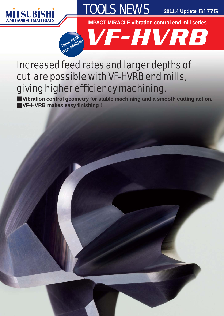



**2011.4 Update B177G**

**IMPACT MIRACLE vibration control end mill series**



## Increased feed rates and larger depths of cut are possible with VF-HVRB end mills, giving higher efficiency machining.

**Vibration control geometry for stable machining and a smooth cutting action. VF-HVRB makes easy fi nishing !** y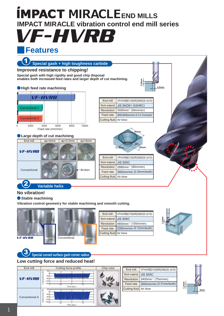# VF-HVRB **END PACT MIRACLE END MILLS IMPACT MIRACLE vibration control end mill series**

#### y<br>Yan **Features**



#### **Low cutting force and reduced heat!**



| End mill               | VFHVRBD1000R20N030 (ø10)                   |
|------------------------|--------------------------------------------|
| Work material JIS S55C |                                            |
|                        | Revolution 2400min <sup>-1</sup> (75m/min) |
|                        | Feed rate 3000mm/min (0.31mm/tooth)        |
| Cutting fluid Air blow |                                            |
|                        |                                            |

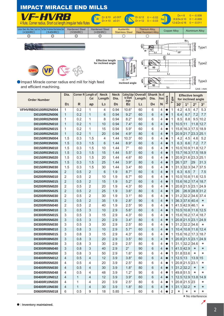

| <b>Order Number</b> | Dia.           |              | Corner $R$ Length of<br>Cut | <b>Neck</b><br>Length | <b>Neck</b><br>Dia. | <b>Cutting Edge</b><br>to Shank | <b>Overall</b><br>Length | <b>Shank</b><br>Dia. | No. of <br><b>Flutes</b> | <b>Stock</b> | Type           |                                 | <b>Effective length</b><br>for inclined angle |                |                |
|---------------------|----------------|--------------|-----------------------------|-----------------------|---------------------|---------------------------------|--------------------------|----------------------|--------------------------|--------------|----------------|---------------------------------|-----------------------------------------------|----------------|----------------|
|                     | D <sub>1</sub> | $\mathsf{R}$ | ap                          | L <sub>3</sub>        | D <sub>5</sub>      | Angle<br>B <sub>2</sub>         | L <sub>1</sub>           | D <sub>4</sub>       | N                        |              |                | 30'                             | $1^{\circ}$                                   | $2^{\circ}$    | $3^\circ$      |
| VFHVRBD0100R02N004  | 1              | 0.2          | 1                           | 4                     | 0.94                | $10.6^\circ$                    | 60                       | 6                    | $\overline{4}$           |              | 1              | 4.2                             | 4.5                                           | 4.7            | 5.3            |
| D0100R02N006        | $\mathbf{1}$   | 0.2          | $\mathbf{1}$                | 6                     | 0.94                | $9.2^\circ$                     | 60                       | 6                    | 4                        |              | $\mathbf{1}$   | 6.4                             | 6.7                                           | 7.2            | 7.7            |
| D0100R02N008        | 1              | 0.2          | 1                           | 8                     | 0.94                | $8.2^\circ$                     | 60                       | 6                    | 4                        | $\bullet$    | 1              | 8.5                             | 8.8                                           | 9.5            | 10.2           |
| D0100R02N010        | $\mathbf{1}$   | 0.2          | $\mathbf{1}$                | 10                    | 0.94                | $7.4^\circ$                     | 60                       | 6                    | 4                        | $\bullet$    | $\mathbf{1}$   | 10.5                            | 11                                            | 11.8           | 12.7           |
| D0100R02N015        | 1              | 0.2          | 1                           | 15                    | 0.94                | $5.9^\circ$                     | 60                       | 6                    | 4                        | $\bullet$    | 1              |                                 | 15.8 16.3 17.5                                |                | 18.9           |
| D0100R02N020        | $\mathbf{1}$   | 0.2          | $\mathbf{1}$                | 20                    | 0.94                | $4.9^\circ$                     | 80                       | 6                    | $\overline{4}$           |              | $\mathbf{1}$   |                                 | 20.9 21.7 23.3 25.1                           |                |                |
| D0150R03N004        | 1.5            | 0.3          | 1.5                         | 4                     | 1.44                | $10.3^\circ$                    | 60                       | 6                    | 4                        | $\bullet$    | 1              | 4.2                             | 4.5                                           | 4.6            | 5.2            |
| D0150R03N006        | 1.5            | 0.3          | 1.5                         | 6                     | 1.44                | $8.9^\circ$                     | 60                       | 6                    | $\overline{4}$           | $\bullet$    | $\mathbf{1}$   | 6.3                             | 6.6                                           | 7.2            | 7.7            |
| D0150R03N010        | 1.5            | 0.3          | 1.5                         | 10                    | 1.44                | $7^\circ$                       | 60                       | 6                    | 4                        |              | 1              |                                 | 10.5 10.9 11.8                                |                | 12.7           |
| D0150R03N015        | 1.5            | 0.3          | 1.5                         | 15                    | 1.44                | $5.5^{\circ}$                   | 60                       | 6                    | 4                        |              | 1              | 15.7                            | 16.3 17.5                                     |                | 18.9           |
| D0150R03N020        | 1.5            | 0.3          | 1.5                         | 20                    | 1.44                | $4.6^\circ$                     | 80                       | 6                    | $\overline{4}$           | $\bullet$    | 1              |                                 | 20.9 21.6 23.3 25.1                           |                |                |
| D0150R03N025        | 1.5            | 0.3          | 1.5                         | 25                    | 1.44                | $3.9^\circ$                     | 80                       | 6                    | 4                        | $\bullet$    | $\mathbf{1}$   | 26.1                            | 27                                            | 29             | 31.3           |
| D0150R03N030        | 1.5            | 0.3          | 1.5                         | 30                    | 1.44                | $3.4^\circ$                     | 80                       | 6                    | 4                        | ●            | 1              |                                 | 31.3 32.3 34.7                                |                | 37.5           |
| D0200R05N006        | $\overline{2}$ | 0.5          | $\overline{2}$              | 6                     | 1.9                 | $8.7^\circ$                     | 60                       | 6                    | 4                        | $\bullet$    | $\mathbf{1}$   | 6.3                             | 6.5                                           | $\overline{7}$ | 7.5            |
| D0200R05N010        | $\overline{2}$ | 0.5          | $\overline{2}$              | 10                    | 1.9                 | $6.7^\circ$                     | 60                       | 6                    | 4                        | $\bullet$    |                |                                 | 10.5 10.8 11.6                                |                | 12.5           |
| D0200R05N015        | $\overline{2}$ | 0.5          | $\overline{2}$              | 15                    | 1.9                 | $5.2^\circ$                     | 60                       | 6                    | $\overline{4}$           |              | $\mathbf{1}$   |                                 | 15.6 16.2 17.4                                |                | 18.7           |
| D0200R05N020        | $\overline{2}$ | 0.5          | $\overline{2}$              | 20                    | 1.9                 | $4.3^\circ$                     | 80                       | 6                    | 4                        |              | 1              |                                 | 20.8 21.5 23.1 24.9                           |                |                |
| D0200R05N025        | $\overline{2}$ | 0.5          | $\overline{2}$              | 25                    | 1.9                 | $3.6^\circ$                     | 80                       | 6                    | 4                        |              | $\mathbf{1}$   | 26                              |                                               |                | 26.9 28.9 31.2 |
| D0200R05N030        | $\overline{2}$ | 0.5          | $\overline{2}$              | 30                    | 1.9                 | $3.1^\circ$                     | 80                       | 6                    | $\overline{4}$           | $\bullet$    | 1              |                                 | 31.2 32.2 34.6 37.4                           |                |                |
| D0200R05N035        | $\overline{2}$ | 0.5          | $\overline{2}$              | 35                    | 1.9                 | $2.8^\circ$                     | 90                       | 6                    | 4                        | $\bullet$    | $\mathbf{1}$   | 36.337.640.4                    |                                               |                | $\star$        |
| D0200R05N040        | $\overline{2}$ | 0.5          | $\overline{2}$              | 40                    | 1.9                 | $2.5^\circ$                     | 90                       | 6                    | 4                        | $\bullet$    | 1              |                                 | 41.5 42.9 46.1                                |                | $\star$        |
| D0300R05N010        | 3              | 0.5          | 3                           | 10                    | 2.9                 | $5.6^\circ$                     | 60                       | 6                    | 4                        |              | 1              |                                 | 10.5 10.8 11.6                                |                | 12.5           |
| D0300R05N015        | 3              | 0.5          | 3                           | 15                    | 2.9                 | $4.3^\circ$                     | 60                       | 6                    | 4                        | $\bullet$    |                |                                 | 15.6 16.2 17.4                                |                | 18.7           |
| D0300R05N020        | 3              | 0.5          | 3                           | 20                    | 2.9                 | $3.4^\circ$                     | 80                       | 6                    | $\overline{4}$           |              | 1              | 20.8 21.5 23.1 24.9             |                                               |                |                |
| D0300R05N030        | 3              | 0.5          | 3                           | 30                    | 2.9                 | $2.5^{\circ}$                   | 80                       | 6                    | 4                        | $\bullet$    | 1              |                                 | 31.2 32.2 34.6                                |                | $\star$        |
| D0300R08N010        | 3              | 0.8          | 3                           | 10                    | 2.9                 | $5.7^\circ$                     | 60                       | 6                    | 4                        |              | 1              |                                 | 10.4 10.8 11.6                                |                | 12.4           |
| D0300R08N015        | 3              | 0.8          | 3                           | 15                    | 2.9                 | $4.3^\circ$                     | 60                       | 6                    | $\overline{4}$           | $\bullet$    | 1              |                                 | 15.6 16.2 17.3                                |                | 18.7           |
| D0300R08N020        | 3              | 0.8          | 3                           | 20                    | 2.9                 | $3.5^\circ$                     | 80                       | 6                    | 4                        | $\bullet$    | $\mathbf{1}$   | 20.8 21.5 23.1                  |                                               |                | 24.9           |
| D0300R08N030        | 3              | 0.8          | 3                           | 30                    | 2.9                 | $2.5^{\circ}$                   | 80                       | 6                    | 4                        | $\bullet$    | 1              |                                 | 31.1 32.2 34.6                                |                | $\star$        |
| D0300R08N040        | 3              | 0.8          | 3                           | 40                    | 2.9                 | $2^{\circ}$                     | 90                       | 6                    | 4                        |              | 1              | 41.5 42.9                       |                                               | $\star$        | $\star$        |
| D0300R08N050        | 3              | 0.8          | 3                           | 50                    | 2.9                 | $1.6^\circ$                     | 90                       | 6                    | 4                        |              |                | 51.8 53.6                       |                                               | *              | $\star$        |
| D0400R05N012        | 4              | 0.5          | 4                           | 12                    | 3.9                 | $3.8^\circ$                     | 60                       | 6                    | 4                        |              | 1              | 12.5 13                         |                                               | 13.9 15        |                |
| D0400R05N020        | 4              | 0.5          | 4                           | 20                    | 3.9                 | $2.5^\circ$                     | 80                       | 6                    | 4                        |              |                | 20.8 21.5 23.1                  |                                               |                | $^\star$       |
| D0400R05N030        | $\overline{4}$ | 0.5          | 4                           | 30                    | 3.9                 | $1.8^\circ$                     | 80                       | 6                    | $\overline{4}$           |              |                | 1  31.2 32.2                    |                                               | $\star$        | $^\star$       |
| D0400R05N048        | 4              | 0.5          | 4                           | 48                    | 3.9                 | $1.2^\circ$                     | 90                       | 6                    | $\overline{4}$           | $\bullet$    |                | 1  49.8 51.5                    |                                               | $\star$        | $\star$        |
| D0400R10N012        | $\overline{4}$ | $\mathbf{1}$ | 4                           | 12                    | 3.9                 | $3.9^\circ$                     | 60                       | 6                    | 4                        |              |                | 1   12.5   12.9   13.8   14.9   |                                               |                |                |
| D0400R10N020        | 4              | 1            | 4                           | 20                    | 3.9                 | $2.5^\circ$                     | 80                       | 6                    | 4                        |              |                | 1 20.8 21.5 23                  |                                               |                | $\star$        |
| D0400R10N030        | 4              | $\mathbf{1}$ | 4                           | 30                    | 3.9                 | $1.8^\circ$                     | 80                       | 6                    | 4                        |              |                | $1 \vert 31.1 \vert 32.2 \vert$ |                                               | $\star$        | $^\star$       |
| D0600R05N018        | 6              | 0.5          | 9                           | 18                    | 5.85                | $\qquad \qquad -$               | 60                       | 6                    | 4                        |              | $\overline{c}$ | ¥                               | *                                             | *              | *              |

\* No interference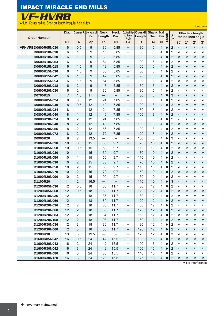### IMPACT MIRACLE END MILLS



Unit **:** mm

| <b>Order Number</b>          | Dia.           |                   | Corner R Length of<br>Cut | <b>Neck</b><br>Length    | Neck<br>Dia.             | <b>Cutting Edge</b><br>to Shank<br>Angle             | <b>Overall</b><br>Length | Shank No. of<br>Dia. | <b>Flutes</b>  | <b>Stock</b>           | Type                             |                    |              | <b>Effective length</b><br>for inclined angle |                    |
|------------------------------|----------------|-------------------|---------------------------|--------------------------|--------------------------|------------------------------------------------------|--------------------------|----------------------|----------------|------------------------|----------------------------------|--------------------|--------------|-----------------------------------------------|--------------------|
|                              | D <sub>1</sub> | $\mathsf{R}$      | ap                        | L <sub>3</sub>           | D <sub>5</sub>           | B <sub>2</sub>                                       | L <sub>1</sub>           | D <sub>4</sub>       | $\mathbf N$    |                        |                                  | 30'                | $1^{\circ}$  | $2^{\circ}$                                   | $3^\circ$          |
| VFHVRBD0600R05N030           | 6              | 0.5               | 9                         | 30                       | 5.85                     | $\overline{\phantom{0}}$                             | 80                       | 6                    | 4              |                        | $\overline{2}$                   | $\star$            | $\star$      | $\star$                                       | $\star$            |
| D0600R10N018                 | 6              | 1                 | 9                         | 18                       | 5.85                     | —                                                    | 60                       | 6                    | 4              |                        | $\overline{2}$                   | $\star$            | ¥            | $\star$                                       | $\star$            |
| D0600R10N030                 | 6              | 1                 | 9                         | 30                       | 5.85                     | —                                                    | 80                       | 6                    | 4              |                        | $\overline{2}$                   | $\star$            | $\star$      | $\star$                                       | $\star$            |
| D0600R10N054                 | 6              | 1                 | 9                         | 54                       | 5.85                     | $\overline{\phantom{0}}$                             | 90                       | 6                    | 4              | $\bullet$              | $\overline{2}$                   | $\star$            | ¥            | $\star$                                       | $\star$            |
| D0600R15N018                 | 6              | 1.5               | 9                         | 18                       | 5.85                     | —                                                    | 60                       | 6                    | 4              | $\bullet$              | $\overline{2}$                   | $\star$            | $\star$      | $\star$                                       | $\star$            |
| D0600R15N030                 | 6              | 1.5               | 9                         | 30                       | 5.85                     | —                                                    | 80                       | 6                    | 4              | $\bullet$              | 2                                | $\star$            | ¥            | $\star$                                       | $\star$            |
| D0600R15N042                 | 6              | 1.5               | 9                         | 42                       | 5.85                     | $\qquad \qquad -$                                    | 90                       | 6                    | 4              | $\bullet$              | $\overline{2}$                   | $\star$            | $\star$      | $\star$                                       | $\star$            |
| D0600R15N054                 | 6              | 1.5               | 9                         | 54                       | 5.85                     | $\overline{\phantom{0}}$                             | 90                       | 6                    | 4              | $\bullet$              | $\overline{2}$                   | $\star$            | $\star$      | $\star$                                       | $\star$            |
| D0600R20N018                 | 6              | $\overline{2}$    | 9                         | 18                       | 5.85                     | $\overline{\phantom{0}}$                             | 60                       | 6                    | $\overline{4}$ | $\bullet$              | $\overline{2}$                   | $\star$            | $\star$      | $\star$                                       | $\star$            |
| D0600R20N030                 | 6              | 2                 | 9                         | 30                       | 5.85                     | $\overline{\phantom{0}}$                             | 80                       | 6                    | 4              |                        | $\overline{2}$                   | $\star$            | $\star$      | $\star$                                       | $\star$            |
| D0700R15                     | $\overline{7}$ | 1.5               | 11                        | —                        |                          | —                                                    | 80                       | 6                    | 4              |                        | 3                                | $\star$            | $\star$      | $\star$                                       | $\star$            |
| D0800R05N024                 | 8              | 0.5               | 12                        | 24                       | 7.85                     | $\overline{\phantom{0}}$                             | 60                       | 8                    | 4              |                        | $\overline{2}$                   | $\star$            | ¥            | $\star$                                       | $\star$            |
| D0800R05N040                 | 8              | 0.5               | 12                        | 40                       | 7.85                     | —                                                    | 100                      | 8                    | 4              | $\bullet$              | $\overline{2}$                   | $\star$            | $\star$      | $\star$                                       | $\star$            |
| D0800R10N024                 | 8              | 1                 | 12<br>12                  | 24                       | 7.85                     | $\overline{\phantom{0}}$                             | 60                       | 8                    | 4              | $\bullet$              | 2                                | $\star$            | ¥            | $\star$                                       | $\star$            |
| D0800R10N040<br>D0800R20N024 | 8<br>8         | $\mathbf{1}$<br>2 | 12                        | 40<br>24                 | 7.85                     | $\qquad \qquad -$                                    | 100<br>60                | 8<br>8               | 4<br>4         | $\bullet$<br>$\bullet$ | $\overline{2}$<br>$\overline{2}$ | $\star$<br>$\star$ | $\star$<br>¥ | $\star$<br>$\star$                            | $\star$<br>$\star$ |
| D0800R20N040                 | 8              | $\overline{2}$    | 12                        | 40                       | 7.85<br>7.85             | $\overline{\phantom{0}}$<br>$\overline{\phantom{0}}$ | 100                      | 8                    | $\overline{4}$ | $\bullet$              | $\overline{2}$                   | $\star$            | $\star$      | $\star$                                       | $\star$            |
| D0800R20N056                 | 8              | 2                 | 12                        | 56                       | 7.85                     | $\overline{\phantom{0}}$                             | 120                      | 8                    | 4              |                        | $\overline{2}$                   | $\star$            | $\star$      | $\star$                                       | $\star$            |
| D0800R20N072                 | 8              | $\overline{2}$    | 12                        | 72                       | 7.85                     | $\overline{\phantom{0}}$                             | 120                      | 8                    | 4              |                        | $\overline{2}$                   | $\star$            | $\star$      | $\star$                                       | $\star$            |
| D0900R20                     | 9              | 2                 | 13.5                      |                          |                          | —                                                    | 100                      | 8                    | 4              | $\bullet$              | 3                                | $\star$            | ¥            | $\star$                                       | $\star$            |
| D1000R05N030                 | 10             | 0.5               | 15                        | 30                       | 9.7                      | $\overline{\phantom{0}}$                             | 70                       | 10                   | 4              | $\bullet$              | $\overline{2}$                   | $\star$            | $\star$      | $\star$                                       | $\star$            |
| D1000R05N050                 | 10             | 0.5               | 15                        | 50                       | 9.7                      | $\overline{\phantom{0}}$                             | 110                      | 10                   | 4              | $\bullet$              | 2                                | $\star$            | ¥            | $\star$                                       | $\star$            |
| D1000R10N030                 | 10             | 1                 | 15                        | 30                       | 9.7                      | $\qquad \qquad -$                                    | 70                       | 10                   | 4              | $\bullet$              | $\overline{2}$                   | $\star$            | $\star$      | $\star$                                       | $\star$            |
| D1000R10N050                 | 10             | 1                 | 15                        | 50                       | 9.7                      | $\overline{\phantom{0}}$                             | 110                      | 10                   | 4              |                        | $\overline{2}$                   | $\star$            | $\star$      | $\star$                                       | $\star$            |
| D1000R20N030                 | 10             | $\overline{2}$    | 15                        | 30                       | 9.7                      | $\overline{\phantom{0}}$                             | 70                       | 10                   | $\overline{4}$ |                        | $\overline{2}$                   | $\star$            | $\star$      | $\star$                                       | $\star$            |
| D1000R20N050                 | 10             | 2                 | 15                        | 50                       | 9.7                      | $\overline{\phantom{0}}$                             | 110                      | 10                   | 4              |                        | $\overline{2}$                   | $\star$            | $\star$      | $\star$                                       | $\star$            |
| D1000R20N070                 | 10             | $\overline{2}$    | 15                        | 70                       | 9.7                      | $\overline{\phantom{0}}$                             | 150                      | 10                   | 4              |                        | $\overline{2}$                   | $\star$            | $\star$      | $\star$                                       | $\star$            |
| D1000R20N090                 | 10             | 2                 | 15                        | 90                       | 9.7                      | $\overline{\phantom{0}}$                             | 150                      | 10                   | 4              | $\bullet$              | $\overline{2}$                   | $\star$            | ¥            | $\star$                                       | $\star$            |
| D1100R20                     | 11             | $\overline{2}$    | 16.5                      | $\overline{\phantom{0}}$ | $\overline{\phantom{0}}$ | —                                                    | 110                      | 10                   | 4              | $\bullet$              | 3                                | $\star$            | $\star$      | $\star$                                       | $\star$            |
| D1200R05N036                 | 12             | 0.5               | 18                        | 36                       | 11.7                     | $\overline{\phantom{0}}$                             | 80                       | 12                   | 4              | $\bullet$              | 2                                | $\star$            | ¥            | $\star$                                       | $\star$            |
| D1200R05N060                 | 12             | 0.5               | 18                        | 60                       | 11.7                     | —                                                    | 120                      | 12                   | 4              |                        | $\overline{2}$                   | $\star$            | $\star$      | $\star$                                       | $\star$            |
| D1200R10N036                 | 12             | 1                 | 18                        | 36                       | 11.7                     | $\overline{\phantom{0}}$                             | 80                       | 12                   | 4              |                        | $\overline{2}$                   | $\star$            | $\star$      | $\star$                                       | $\star$            |
| D1200R10N060                 | 12             | $\mathbf{1}$      | 18                        | 60                       | 11.7                     | $\qquad \qquad -$                                    | 120                      | 12                   | 4              |                        | $\overline{2}$                   | $\star$            | ¥            | $\star$                                       | $\star$            |
| D1200R20N036                 | 12             | $\overline{2}$    | 18                        | 36                       | 11.7                     | $\overline{\phantom{0}}$                             | 80                       | 12                   | 4              |                        | $\overline{2}$                   | $\star$            | ¥            | $\star$                                       | *                  |
| D1200R20N060                 | 12             | 2                 | 18                        | 60                       | 11.7                     | $\overline{\phantom{0}}$                             | 120                      | 12                   | 4              |                        | $\overline{2}$                   | $\star$            | *            | $\star$                                       | $\star$            |
| D1200R20N084                 | 12             | 2                 | 18                        | 84                       | 11.7                     | $\overline{\phantom{0}}$                             | 160                      | 12                   | 4              |                        | 2                                | $\star$            | ¥            | $\star$                                       | $\star$            |
| D1200R20N108                 | 12             | $\overline{2}$    | 18                        | 108                      | 11.7                     | -                                                    | 160                      | 12                   | 4              | $\bullet$              | $\overline{2}$                   | $\star$            | *            | $\star$                                       | $\star$            |
| D1200R30N036                 | 12             | 3                 | 18                        | 36                       | 11.7                     | $\qquad \qquad -$                                    | 80                       | 12                   | 4              |                        | $\overline{2}$                   | $\star$            | *            | $\star$                                       | *                  |
| D1200R30N060                 | 12             | 3                 | 18                        | 60                       | 11.7                     | $\overline{\phantom{0}}$                             | 120                      | 12                   | 4              |                        | $\overline{2}$                   | $\star$            | $^\star$     | $\star$                                       | $\star$            |
| D1300R30                     | 13             | 3                 | 19.5                      |                          |                          | $\overline{\phantom{0}}$                             | 120                      | 12                   | 4              |                        | 3                                | $\star$            | ¥            | $\star$                                       | $\star$            |
| D1600R05N042                 | 16             | 0.5               | 24                        | 42                       | 15.5                     | $\overline{\phantom{0}}$                             | 100                      | 16                   | 4              |                        | $\overline{2}$                   | $\star$            | $\star$      | $\star$                                       | $\star$            |
| D1600R20N042                 | 16             | 2                 | 24                        | 42                       | 15.5                     | $\qquad \qquad -$                                    | 100                      | 16                   | 4              |                        | 2                                | $\star$            | *            | $\star$                                       | $^\star$           |
| D1600R30N042                 | 16             | 3                 | 24                        | 42                       | 15.5                     | $\overline{\phantom{0}}$                             | 100                      | 16                   | 4              |                        | $\overline{2}$                   | $\star$            | *            | $\star$                                       | $^\star$           |
| D1600R30N080                 | 16             | 3                 | 24                        | 80                       | 15.5                     | $\overline{\phantom{0}}$                             | 140                      | 16                   | 4              |                        | 2                                | $\star$            | $\star$      | $\star$                                       | $\star$            |
| D1600R30N120                 | 16             | 3                 | 24                        | 120                      | 15.5                     | $\qquad \qquad -$                                    | 175                      | 16                   | 4              |                        | $\overline{2}$                   | $\star$            | $\star$      | $\star$                                       | $\star$            |

\* No interference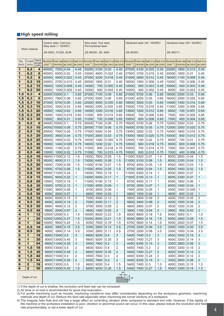#### **High speed milling**

|                              |                         |                                         |                 | Carbon steel, Cast iron,<br>Alloy steel (-30HRC) |                                  |                                |                | Alloy steel, Tool steel,<br>Pre-hardened steel |                                |                                           |                  | Hardened steel (45–55HRC)                                                |              |                                  |                                                                                                                                                                                                                                              |              | Hardened steel $(55-62HRC)$        |                                           |
|------------------------------|-------------------------|-----------------------------------------|-----------------|--------------------------------------------------|----------------------------------|--------------------------------|----------------|------------------------------------------------|--------------------------------|-------------------------------------------|------------------|--------------------------------------------------------------------------|--------------|----------------------------------|----------------------------------------------------------------------------------------------------------------------------------------------------------------------------------------------------------------------------------------------|--------------|------------------------------------|-------------------------------------------|
|                              | Work material           |                                         |                 | <b>JIS S50C, FC250, SCM</b>                      |                                  |                                |                | JIS SKD61, SK, NAK                             |                                |                                           | <b>JIS SKD61</b> |                                                                          |              |                                  | <b>JIS SKD11</b>                                                                                                                                                                                                                             |              |                                    |                                           |
| Dia.<br>(mm)                 | CornerR<br>(mm)         | <b>Neck</b><br>length<br>$(m\tilde{m})$ | $(min^{-1})$    |                                                  | $ (mm/min) $ ap $ mm $ ae $ mm $ |                                | $(min^{-1})$   |                                                | $(mm/min)$ ap $(mm)$ ae $(mm)$ |                                           | $(min^{-1})$     | $\left \frac{m m}{m}\right $ ap $\left(m m\right)$ ae $\left(m m\right)$ |              |                                  | Revolution  Feed rate Depth of cut Depth of cut Revolution Feed rate Depth of cut Depth of cut Revolution Feed rate Depth of cut Depth of cut Depth of cut Oepth of cut Oepth of cut Oepth of cut Oepth of cut Oepth of cut <br>$(min^{-1})$ |              | $(mm/min)$   ap $(mm)$   ae $(mm)$ |                                           |
| 1                            | 0.2                     | $\overline{\bf 4}$                      | 40000           | 7200                                             | 0.04                             | 0.45                           | 33000          | 5100                                           | 0.03                           | 0.45                                      | 27000            | 4100                                                                     | 0.025        | 0.45                             | 20000                                                                                                                                                                                                                                        | 1800         | 0.013                              | 0.45                                      |
| 1                            | 0.2                     | 6                                       | 40000           | 6500 0.03                                        |                                  | 0.45                           | 33000          | 4600                                           | 0.022                          | 0.45                                      | 27000            | 3700                                                                     | 0.018        | 0.45                             | 20000                                                                                                                                                                                                                                        | 1600         | 0.01                               | 0.45                                      |
| 1                            | 0.2                     | 8                                       | 32000           | 4500                                             | 0.022                            | 0.45                           | 27000          | 3200                                           | 0.018                          | 0.45                                      | 21000            | 2600                                                                     | 0.012        | 0.45                             | 16000                                                                                                                                                                                                                                        | 1100         | 0.008                              | 0.45                                      |
| 1                            | 0.2                     | 10                                      | 24000           | 2700                                             | 0.015                            | 0.45                           | 20000          | 1900                                           | 0.01                           | 0.45                                      | 16000            | 1500                                                                     | 0.008        | 0.45                             | 12000                                                                                                                                                                                                                                        | 700          | 0.006                              | 0.45                                      |
| 1                            | 0.2                     | 15                                      | 16000           | 1200                                             | 0.008                            | 0.45                           | 14000          | 700                                            | 0.005                          | 0.45                                      | 12000            | 500                                                                      | 0.003        | 0.45                             | 10000                                                                                                                                                                                                                                        | 400          | 0.003                              | 0.45                                      |
| 1                            | 0.2                     | 20                                      | 14000           | 1000                                             | 0.005                            | 0.45                           | 12000          | 600                                            | 0.004                          | 0.45                                      | 10000            | 400                                                                      | 0.002        | 0.45                             | 9000                                                                                                                                                                                                                                         | 300          | 0.002                              | 0.45                                      |
| 1.5                          | 0.3                     | $\overline{\mathbf{4}}$                 | 32000           | 10000                                            | 0.1                              | 0.65                           | 27000          | 7100                                           | 0.08                           | 0.65                                      | 21000            | 5700                                                                     | 0.06         | 0.65                             | 16000                                                                                                                                                                                                                                        | 2500         | 0.03                               | 0.65                                      |
| 1.5                          | 0.3                     | 6                                       | 32000           | 7800                                             | 0.08                             | 0.65                           | 27000          | 5500                                           | 0.06                           | 0.65                                      | 21000            | 4200                                                                     | 0.05         | 0.65                             | 16000                                                                                                                                                                                                                                        | 2000         | 0.025                              | 0.65                                      |
| 1.5                          | 0.3                     | 10                                      | 27000           | 5700                                             | 0.05                             | 0.65                           | 22000          | 4000                                           | 0.035                          | 0.65                                      | 18000            | 3000                                                                     | 0.03         | 0.65                             | 14000                                                                                                                                                                                                                                        | 1400         | 0.014                              | 0.65                                      |
| 1.5                          | 0.3                     | 15                                      | 22000           | 3200                                             | 0.03                             | 0.65                           | 18000          | 2300                                           | 0.025                          | 0.65                                      | 15000            | 1700                                                                     | 0.018        | 0.65                             | 11000                                                                                                                                                                                                                                        | 1000         | 0.009                              | 0.65                                      |
| 1.5                          | 0.3                     | 20                                      | 16000           | 1400                                             | 0.02                             | 0.65                           | 14000          | 1200                                           | 0.016                          | 0.65                                      | 13000            | 1000                                                                     | 0.012        | 0.65                             | 9000                                                                                                                                                                                                                                         | 700          | 0.007                              | 0.65                                      |
| 1.5                          | 0.3                     | 25                                      | 13000           | 1000                                             | 0.015                            | 0.65                           | 11000          | 800                                            | 0.012                          | 0.65                                      | 10000            | 700                                                                      | 0.009        | 0.65                             | 7500                                                                                                                                                                                                                                         | 500          | 0.005                              | 0.65                                      |
| 1.5                          | 0.3                     | 30                                      | 13000           | 900                                              | 0.01                             | 0.65                           | 11000          | 700                                            | 0.008                          | 0.65                                      | 10000            | 600                                                                      | 0.006        | 0.65                             | 7500                                                                                                                                                                                                                                         | 400          | 0.004                              | 0.65                                      |
| $\mathbf{2}$                 | 0.5                     | 6                                       | 24000           | 10000                                            | 0.1                              | 0.75                           | 20000          | 7100                                           | 0.08                           | 0.75                                      | 16000            | 5700                                                                     | 0.06         | 0.75                             | 12000                                                                                                                                                                                                                                        | 2500         | 0.03                               | 0.75                                      |
| $\mathbf{2}$<br>$\mathbf{2}$ | 0.5<br>0.5              | 10<br>15                                | 24000<br>20000  | 10000<br>7000                                    | 0.08<br>0.05                     | 0.75<br>0.75                   | 20000<br>17000 | 7100<br>5000                                   | 0.06<br>0.04                   | 0.75<br>0.75                              | 16000<br>13000   | 5700<br>3200                                                             | 0.05<br>0.03 | 0.75<br>0.75                     | 12000<br>10000                                                                                                                                                                                                                               | 2500<br>1800 | 0.025<br>0.016                     | 0.75<br>0.75                              |
| $\mathbf{2}$                 | 0.5                     | 20                                      | 20000           | 3600                                             | 0.04                             | 0.75                           | 17000          | 2600                                           | 0.03                           | 0.75                                      | 13000            | 1800                                                                     | 0.025        | 0.75                             | 10000                                                                                                                                                                                                                                        | 900          | 0.012                              | 0.75                                      |
| $\mathbf{2}$                 | 0.5                     | 25                                      | 16000           | 1800 0.03                                        |                                  | 0.75                           | 14000          | 1400                                           | 0.025                          | 0.75                                      | 12000            | 1100                                                                     | 0.02         | 0.75                             | 9000                                                                                                                                                                                                                                         | 720          | 0.01                               | 0.75                                      |
| $\mathbf{2}$                 | 0.5                     | 30                                      | 16000           | 1400                                             | 0.025                            | 0.75                           | 14000          | 1200                                           | 0.02                           | 0.75                                      | 12000            | 900                                                                      | 0.016        | 0.75                             | 9000                                                                                                                                                                                                                                         | 650          | 0.008                              | 0.75                                      |
| $\mathbf{2}$                 | 0.5                     | 35                                      | 13000           | 1100                                             | 0.02                             | 0.75                           | 11000          | 800                                            | 0.018                          | 0.75                                      | 10000            | 700                                                                      | 0.014        | 0.75                             | 7000                                                                                                                                                                                                                                         | 500          | 0.007                              | 0.75                                      |
| $\overline{\mathbf{2}}$      | 0.5                     | 40                                      | 13000           | 1000                                             | 0.02                             | 0.75                           | 11000          | 700                                            | 0.015                          | 0.75                                      | 10000            | 600                                                                      | 0.012        | 0.75                             | 7000                                                                                                                                                                                                                                         | 400          | 0.006                              | 0.75                                      |
| 3                            | 0.5                     | 10                                      | 16000           | 11000                                            | 0.12                             | 1.5                            | 13000          | 7800                                           | 0.09                           | 1.5                                       | 11000            | 6300                                                                     | 0.07         | 1.5                              | 8000                                                                                                                                                                                                                                         | 2800         | 0.04                               | 1.5                                       |
| 3                            | 0.5                     | 15                                      | 16000           | 9000                                             | 0.11                             | 1.5                            | 13000          | 6400                                           | 0.08                           | 1.5                                       | 11000            | 5100                                                                     | 0.06         | 1.5                              | 8000                                                                                                                                                                                                                                         | 2300         | 0.04                               | 1.5                                       |
| 3                            | 0.5                     | 20                                      | 13000           | 7200                                             | 0.09                             | 1.5                            | 11000          | 5100                                           | 0.07                           | 1.5                                       | 8700             | 4000                                                                     | 0.05         | 1.5                              | 6500                                                                                                                                                                                                                                         | 1800         | 0.03                               | 1.5                                       |
| 3                            | 0.5                     | 30                                      | 13000           | 5700                                             | 0.06                             | 1.5                            | 11000          | 4000                                           | 0.05                           | 1.5                                       | 8700             | 3000                                                                     | 0.04         | 1.5                              | 6500                                                                                                                                                                                                                                         | 1400         | 0.02                               | 1.5                                       |
| 3                            | 0.8                     | 10                                      | 16000           | 11000                                            | 0.24                             | 1                              | 13000          | 7800                                           | 0.19                           | 1                                         | 11000            | 6300                                                                     | 0.14         | 1                                | 8000                                                                                                                                                                                                                                         | 2800         | 0.07                               | 1                                         |
| 3                            | 0.8                     | 15                                      | 16000           | 9000                                             | 0.22                             | 1                              | 13000          | 6400                                           | 0.17                           | $\mathbf{1}$                              | 11000            | 5100                                                                     | 0.13         | $\mathbf{1}$                     | 8000                                                                                                                                                                                                                                         | 2300         | 0.07                               | 1                                         |
| 3                            | 0.8                     | 20                                      | 13000           | 7200                                             | 0.19                             | 1                              | 11000          | 5100                                           | 0.15                           | 1                                         | 8700             | 4000                                                                     | 0.11         | 1                                | 6500                                                                                                                                                                                                                                         | 1800         | 0.06                               | 1                                         |
| 3                            | 0.8                     | 30                                      | 13000           | 5700                                             | 0.12                             | $\mathbf{1}$                   | 11000          | 4000                                           | 0.09                           | $\mathbf{1}$                              | 8700             | 3000                                                                     | 0.07         | 1                                | 6500                                                                                                                                                                                                                                         | 1400         | 0.04                               | 1                                         |
| 3                            | 0.8                     | 40                                      | 11000           | 3600                                             | 0.08                             | 1                              | 9100           | 2600                                           | 0.06                           | 1                                         | 7400             | 2000                                                                     | 0.05         | $\mathbf{1}$                     | 5500                                                                                                                                                                                                                                         | 1000         | 0.025                              | 1                                         |
| 3                            | 0.8                     | 50                                      | 8000            | 2600 0.07                                        |                                  | 1                              | 6600           | 1800                                           | 0.05                           | $\mathbf{1}$                              | 5800             | 1500                                                                     | 0.04         | $\mathbf{1}$                     | 4600                                                                                                                                                                                                                                         | 800          | 0.02                               | 1                                         |
| 4                            | 0.5                     | 12                                      | 8400            | 6000 0.15                                        |                                  | $\overline{2}$                 | 7000           | 4300                                           | 0.12                           | $\overline{2}$                            | 5600             | 3400                                                                     | 0.09         | $\overline{2}$                   | 4200                                                                                                                                                                                                                                         | 1500         | 0.05                               | $\overline{c}$                            |
| 4<br>4                       | 0.5                     | 20                                      | 8400            | 6000 0.14                                        |                                  | $\overline{2}$                 | 7000           | 4300                                           | 0.11                           | $\overline{2}$                            | 5600             | 3400                                                                     | 0.08         | $\overline{c}$<br>$\overline{c}$ | 4200                                                                                                                                                                                                                                         | 1500         | 0.04                               | $\overline{\mathbf{c}}$                   |
| 4                            | 0.5<br>0.5              | 30<br>48                                | 6900<br>5600    | 4900 0.12<br>2000                                | 0.07                             | $\overline{2}$                 | 5700<br>4600   | 3500<br>1400                                   | 0.09<br>0.05                   | $\overline{2}$<br>$\overline{\mathbf{c}}$ | 4600<br>3800     | 2800<br>1100                                                             | 0.07<br>0.04 | $\overline{\mathbf{c}}$          | 3500<br>2800                                                                                                                                                                                                                                 | 1200<br>500  | 0.03<br>0.02                       | $\overline{2}$<br>$\overline{\mathbf{c}}$ |
| 4                            | $\mathbf 1$             | 12                                      | 12000 12000 0.3 |                                                  |                                  | $\overline{\mathbf{c}}$<br>1.5 | 10000          | 8500                                           | 0.23                           | 1.5                                       | 8000             | 6800                                                                     | 0.18         | 1.5                              | 6000                                                                                                                                                                                                                                         | 3000         | 0.1                                | 1.5                                       |
| 4                            | 1                       | 20                                      |                 | 12000 12000 0.27                                 |                                  | 1.5                            | 10000          | 8500                                           | 0.21                           | 1.5                                       | 8000             | 6800                                                                     | 0.16         | 1.5                              | 6000                                                                                                                                                                                                                                         | 3000         | 0.08                               | 1.5                                       |
| 4                            | $\overline{\mathbf{1}}$ | 30                                      | 10000           | 9900   0.24                                      |                                  | 1.5                            | 8300           | 7000                                           | 0.19                           | 1.5                                       | 6700             | 5600                                                                     | 0.14         | 1.5                              | 5000                                                                                                                                                                                                                                         | 2500         | 0.07                               | 1.5                                       |
| 6                            | 0.5                     | 18                                      | 4000            | 3900 0.15                                        |                                  | 3.5                            | 3300           | 2800                                           | 0.12                           | 3.5                                       | 2700             | 2200                                                                     | 0.09         | 3.5                              | 2000                                                                                                                                                                                                                                         | 1000         | 0.05                               | 3.5                                       |
| 6                            | 0.5                     | 30                                      | 4000            | 3900 0.14                                        |                                  | 3.5                            | 3300           | 2800                                           | 0.11                           | 3.5                                       | 2700             | 2200                                                                     | 0.08         | 3.5                              | 2000                                                                                                                                                                                                                                         | 1000         | 0.04                               | 3.5                                       |
| 6                            | $\mathbf{1}$            | 18                                      | 8000            | 13000 0.5                                        |                                  | 3                              | 6600           | 9200                                           | 0.4                            | 3                                         | 5400             | 7400                                                                     | 0.3          | 3                                | 4000                                                                                                                                                                                                                                         | 3300         | 0.15                               | 3                                         |
| 6                            | $\mathbf{1}$            | 30                                      |                 | 8000 13000 0.45                                  |                                  | 3                              | 6600           | 9200                                           | 0.35                           | 3                                         | 5400             | 7400                                                                     | 0.27         | 3                                | 4000                                                                                                                                                                                                                                         | 3300         | 0.14                               | 3                                         |
| 6                            | $\mathbf{1}$            | 54                                      |                 | 6600 11000 0.25                                  |                                  | 3                              | 5500           | 7800                                           | 0.2                            | 3                                         | 4400             | 6300                                                                     | 0.15         | 3                                | 3300                                                                                                                                                                                                                                         | 2800         | 0.08                               | 3                                         |
| 6                            | 1.5                     | 18                                      |                 | 8000 13000 0.5                                   |                                  | 2                              | 6600           | 9200                                           | 0.4                            | 2                                         | 5400             | 7400                                                                     | 0.3          | $\overline{\mathbf{c}}$          | 4000                                                                                                                                                                                                                                         | 3300         | 0.15                               | $\boldsymbol{2}$                          |
| 6                            | 1.5                     | 30                                      |                 | 8000 13000 0.45                                  |                                  | $\overline{c}$                 | 6600           | 9200                                           | 0.35                           | $\overline{c}$                            | 5400             | 7400                                                                     | 0.27         | $\overline{\mathbf{c}}$          | 4000                                                                                                                                                                                                                                         | 3300         | 0.14                               | $\overline{\mathbf{c}}$                   |
| 6                            | 1.5                     | 42                                      |                 | 6600 11000 0.4                                   |                                  | 2                              | 5500           | 7800                                           | 0.3                            | $\overline{2}$                            | 4400             | 6300                                                                     | 0.24         | $\overline{\mathbf{c}}$          | 3300                                                                                                                                                                                                                                         | 2800         | 0.12                               | $\boldsymbol{2}$                          |
| 6                            | 1.5                     | 54                                      |                 | 6600 11000 0.25                                  |                                  | 2                              | 5500           | 7800                                           | 0.2                            | 2                                         | 4400             | 6300                                                                     | 0.15         | $\overline{c}$                   | 3300                                                                                                                                                                                                                                         | 2800         | 0.08                               | $\overline{\mathbf{c}}$                   |
| 6                            | $\mathbf{2}$            | 18                                      |                 | 8000 13000 0.5                                   |                                  | 1.5                            | 6600           | 9200                                           | 0.4                            | 1.5                                       | 5400             | 7400                                                                     | 0.3          | 1.5                              | 4000                                                                                                                                                                                                                                         | 3300         | 0.15                               | 1.5                                       |
| 6                            | $\overline{2}$          | 30                                      |                 | 8000 13000 0.45                                  |                                  | 1.5                            | 6600           | 9200                                           | 0.35                           | 1.5<br>ae                                 | 5400             | 7400                                                                     | 0.27         | 1.5                              | 4000                                                                                                                                                                                                                                         | 3300         | 0.14                               | 1.5                                       |
|                              | Depth of cut            |                                         |                 |                                                  |                                  |                                |                |                                                |                                |                                           | ap:              |                                                                          |              |                                  |                                                                                                                                                                                                                                              |              |                                    |                                           |

1) If the depth of cut is shallow, the revolution and feed rate can be increased.

2) Air blow or oil mist is recommended for good chip evacuation.

3) For profile machining such as moulds, machining conditions may differ considerably depending on the workpiece geometry, machining methods and depth of cut. Reduce the feed rate especially when machining the corner sections of a workpiece.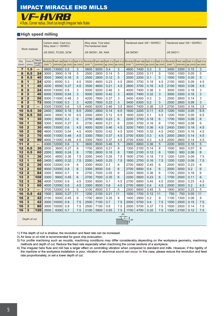

4 flute, Corner radius, Short cut length, Irregular helix flutes

#### **High speed milling**

|                  |                                                    |                                       |              | Carbon steel, Cast iron,<br>Alloy steel $(-30HRC)$ |                      |                  |              | Alloy steel, Tool steel,<br>Pre-hardened steel |                        |                           |              | Hardened steel (45-55HRC) |                                |                                                                                                                                                                         |              | Hardened steel (55 - 62HRC)         |                      |                           |
|------------------|----------------------------------------------------|---------------------------------------|--------------|----------------------------------------------------|----------------------|------------------|--------------|------------------------------------------------|------------------------|---------------------------|--------------|---------------------------|--------------------------------|-------------------------------------------------------------------------------------------------------------------------------------------------------------------------|--------------|-------------------------------------|----------------------|---------------------------|
|                  | Work material                                      |                                       |              | <b>JIS S50C, FC250, SCM</b>                        |                      |                  |              | JIS SKD61, SK, NAK                             |                        |                           | JIS SKD61    |                           |                                |                                                                                                                                                                         | JIS SKD11    |                                     |                      |                           |
| Dia.<br>(mm)     | Corner <sub>R</sub><br>(mm)                        | <b>Neck</b><br>length<br>$(m\bar{m})$ | $(min^{-1})$ |                                                    | $(mm/min)$ ap $(mm)$ | $ae$ (mm)        | $(min^{-1})$ | (mm/min)                                       | $ ap(rmn) $ ae $(rmn)$ |                           | $(min^{-1})$ |                           | $(mm/min)$ ap $(mm)$ ae $(mm)$ | Revolution  Feed rate Depth of cut Depth of cut Revolution  Feed rate Depth of cut Depth of cut Revolution  Feed rate Depth of cut Depth of cut Depth of cut Revolution | $(min^{-1})$ | Feed rate Depth of cut Depth of cut | $(mm/min)$ ap $(mm)$ | ae (mm)                   |
| $\overline{7}$   | 1.5                                                |                                       | 6800         | 13000                                              | 0.5                  | 3                | 5600         | 9200                                           | 0.4                    | 3                         | 4600         | 7400                      | 0.3                            | 3                                                                                                                                                                       | 3400         | 3300                                | 0.15                 | $\ensuremath{\mathsf{3}}$ |
| 8                | 0.5                                                | 24                                    | 3000         | 3900                                               | 0.18                 | 5                | 2500         | 2800                                           | 0.14                   | 5                         | 2000         | 2200                      | 0.11                           | 5                                                                                                                                                                       | 1500         | 1000                                | 0.05                 | 5                         |
| 8                | 0.5                                                | 40                                    | 3000         | 3900                                               | 0.16                 | 5                | 2500         | 2800                                           | 0.12                   | 5                         | 2000         | 2200                      | 0.1                            | 5                                                                                                                                                                       | 1500         | 1000                                | 0.05                 | 5                         |
| 8                | $\overline{\mathbf{1}}$                            | 24                                    | 4200         | 6500                                               | 0.3                  | 4.5              | 3500         | 4600                                           | 0.23                   | 4.5                       | 2800         | 3700                      | 0.18                           | 4.5                                                                                                                                                                     | 2100         | 1600                                | 0.09                 | 4.5                       |
| 8                | $\overline{\mathbf{1}}$                            | 40                                    | 4200         | 6500                                               | 0.27                 | 4.5              | 3500         | 4600                                           | 0.21                   | 4.5                       | 2800         | 3700                      | 0.16                           | 4.5                                                                                                                                                                     | 2100         | 1600                                | 0.08                 | 4.5                       |
| 8                | $\overline{\mathbf{2}}$                            | 24                                    | 6000         | 13000                                              | 0.6                  | 3                | 5000         | 9200                                           | 0.46                   | 3                         | 4000         | 7400                      | 0.36                           | 3                                                                                                                                                                       | 3000         | 3300                                | 0.18                 | 3                         |
| 8                | $\overline{2}$                                     | 40                                    | 6000         | 13000                                              | 0.54                 | 3                | 5000         | 9200                                           | 0.42                   | $\ensuremath{\mathsf{3}}$ | 4000         | 7400                      | 0.32                           | 3                                                                                                                                                                       | 3000         | 3300                                | 0.16                 | 3                         |
| 8                | $\overline{2}$                                     | 56                                    | 5000         | 11000                                              | 0.48                 | 3                | 4200         | 7800                                           | 0.37                   | 3                         | 3400         | 6300                      | 0.3                            | 3                                                                                                                                                                       | 2500         | 2800                                | 0.14                 | 3                         |
| 8                | $\overline{\mathbf{2}}$                            | 72                                    | 5000         | 11000                                              | 0.3                  | 3                | 4200         | 7800                                           | 0.23                   | 3                         | 3400         | 6300                      | 0.2                            | 3                                                                                                                                                                       | 2500         | 2800                                | 0.09                 | 3                         |
| $\boldsymbol{9}$ | $\overline{2}$                                     | ÷,                                    | 5300         | 13000                                              | 0.6                  | $\overline{3.5}$ | 4400         | 9200                                           | 0.46                   | $\overline{3.5}$          | 3600         | 7400                      | 0.36                           | $\overline{3.5}$                                                                                                                                                        | 2700         | 3300                                | 0.18                 | 3.5                       |
| 10               | 0.5                                                | 30                                    | 2400         | 3900                                               | 0.18                 | 6.5              | 2000         | 2800                                           | 0.14                   | 6.5                       | 1600         | 2200                      | 0.11                           | 6.5                                                                                                                                                                     | 1200         | 1000                                | 0.05                 | 6.5                       |
| 10               | 0.5                                                | 50                                    | 2400         | 3900                                               | 0.16                 | 6.5              | 2000         | 2800                                           | 0.12                   | 6.5                       | 1600         | 2200                      | 0.1                            | 6.5                                                                                                                                                                     | 1200         | 1000                                | 0.05                 | 6.5                       |
| 10               | $\overline{\mathbf{1}}$                            | 30                                    | 3300         | 6500                                               | 0.3                  | 6                | 2700         | 4600                                           | 0.23                   | 6                         | 2200         | 3700                      | 0.18                           | 6                                                                                                                                                                       | 1700         | 1600                                | 0.09                 | 6                         |
| 10               | $\overline{\mathbf{1}}$                            | 50                                    | 3300         | 6500                                               | 0.27                 | 6                | 2700         | 4600                                           | 0.21                   | 6                         | 2200         | 3700                      | 0.16                           | 6                                                                                                                                                                       | 1700         | 1600                                | 0.08                 | 6                         |
| 10               | $\overline{\mathbf{2}}$                            | 30<br>50                              | 4800         | 13000                                              | 0.6                  | 4.5              | 4000         | 9200                                           | 0.46                   | 4.5                       | 3200         | 7400                      | 0.36                           | 4.5                                                                                                                                                                     | 2400         | 3300                                | 0.18                 | 4.5                       |
| 10               | $\overline{\mathbf{2}}$<br>$\overline{\mathbf{2}}$ | 70                                    | 4800<br>4000 | 13000<br>11000                                     | 0.54                 | 4.5              | 4000<br>3300 | 9200<br>7800                                   | 0.42<br>0.37           | 4.5                       | 3200         | 7400<br>6300              | 0.32                           | 4.5<br>4.5                                                                                                                                                              | 2400         | 3300<br>2800                        | 0.16                 | 4.5<br>4.5                |
| 10<br>10         | $\overline{2}$                                     | 90                                    | 4000         | 11000                                              | 0.48<br>0.48         | 4.5<br>4.5       | 3300         | 7800                                           | 0.37                   | 4.5<br>4.5                | 2700<br>2700 | 6300                      | 0.3<br>0.3                     | 4.5                                                                                                                                                                     | 2000<br>2000 | 2800                                | 0.14<br>0.14         | 4.5                       |
| 11               | $\overline{2}$                                     | -                                     | 4300         | 12000                                              | 0.6                  | 5                | 3600         | 8500                                           | 0.46                   | 5                         | 2900         | 6800                      | 0.36                           | 5                                                                                                                                                                       | 2200         | 3000                                | 0.18                 | 5                         |
| 12               | 0.5                                                | 36                                    | 2000         | 3600                                               | 0.27                 | 8                | 1700         | 2600                                           | 0.21                   | 8                         | 1300         | 2100                      | 0.14                           | 8                                                                                                                                                                       | 1000         | 900                                 | 0.07                 | 8                         |
| 12               | 0.5                                                | 60                                    | 2000         | 3600                                               | 0.24                 | 8                | 1700         | 2600                                           | 0.18                   | 8                         | 1300         | 2100                      | 0.12                           | 8                                                                                                                                                                       | 1000         | 900                                 | 0.06                 | 8                         |
| 12               | $\overline{\mathbf{1}}$                            | 36                                    | 2400         | 4800                                               | 0.36                 | 7.5              | 2000         | 3400                                           | 0.28                   | 7.5                       | 1600         | 2700                      | 0.18                           | 7.5                                                                                                                                                                     | 1200         | 1200                                | 0.09                 | 7.5                       |
| 12               | $\overline{\mathbf{1}}$                            | 60                                    | 2400         | 4800                                               | 0.32                 | 7.5              | 2000         | 3400                                           | 0.25                   | 7.5                       | 1600         | 2700                      | 0.16                           | 7.5                                                                                                                                                                     | 1200         | 1200                                | 0.08                 | 7.5                       |
| 12               | $\overline{2}$                                     | 36                                    | 4000         | 12000                                              | 0.9                  | 6                | 3300         | 8500                                           | 0.7                    | 6                         | 2700         | 6800                      | 0.45                           | 6                                                                                                                                                                       | 2000         | 3000                                | 0.23                 | 6                         |
| 12               | $\overline{2}$                                     | 60                                    | 4000         | 12000                                              | 0.8                  | 6                | 3300         | 8500                                           | 0.6                    | 6                         | 2700         | 6800                      | 0.4                            | 6                                                                                                                                                                       | 2000         | 3000                                | 0.2                  | 6                         |
| 12               | $\overline{2}$                                     | 84                                    | 3300         | 9900                                               | 0.7                  | 6                | 2700         | 7000                                           | 0.55                   | 6                         | 2200         | 5600                      | 0.36                           | 6                                                                                                                                                                       | 1700         | 2500                                | 0.18                 | 6                         |
| 12               | $\overline{2}$                                     | 108                                   | 3300         | 9900                                               | 0.45                 | 6                | 2700         | 7000                                           | 0.35                   | 6                         | 2200         | 5600                      | 0.23                           | 6                                                                                                                                                                       | 1700         | 2500                                | 0.11                 | 6                         |
| $\overline{12}$  | 3                                                  | 36                                    | 4000         | 12000                                              | 0.9                  | 4.5              | 3300         | 8500                                           | 0.7                    | 4.5                       | 2700         | 6800                      | 0.45                           | 4.5                                                                                                                                                                     | 2000         | 3000                                | 0.23                 | 4.5                       |
| 12               | 3                                                  | 60                                    | 4000         | 12000                                              | 0.8                  | 4.5              | 3300         | 8500                                           | 0.6                    | 4.5                       | 2700         | 6800                      | 0.4                            | 4.5                                                                                                                                                                     | 2000         | 3000                                | 0.2                  | 4.5                       |
| 13               | 3                                                  | $\overline{\phantom{0}}$              | 3700         | 12000                                              | 0.9                  | 5                | 3100         | 8500                                           | 0.7                    | 5                         | 2500         | 6800                      | 0.45                           | 5                                                                                                                                                                       | 1900         | 3000                                | 0.23                 | 5                         |
| 16               | 0.5                                                | 42                                    | 1500         | 3000                                               | 0.27                 | 11               | 1200         | 2100                                           | 0.21                   | 11                        | 1000         | 1700                      | 0.12                           | 11                                                                                                                                                                      | 750          | 750                                 | 0.05                 | 11                        |
| 16               | $\overline{2}$                                     | 42                                    | 2100         | 5000                                               | 0.45                 | 9                | 1700         | 3600                                           | 0.35                   | 9                         | 1400         | 2900                      | 0.2                            | 9                                                                                                                                                                       | 1100         | 1300                                | 0.08                 | 9                         |
| 16               | 3                                                  | 42                                    | 3000         | 10000                                              | 0.9                  | 7.5              | 2500         | 7100                                           | 0.7                    | 7.5                       | 2000         | 5700                      | 0.4                            | 7.5                                                                                                                                                                     | 1500         | 2500                                | 0.15                 | 7.5                       |
| 16               | 3                                                  | 80                                    | 3000         | 10000                                              | 0.8                  | 7.5              | 2500         | 7100                                           | 0.6                    | 7.5                       | 2000         | 5700                      | 0.37                           | 7.5                                                                                                                                                                     | 1500         | 2500                                | 0.14                 | 7.5                       |
| 16               | 3                                                  | 120                                   | 2500         | 8300                                               | 0.7                  | 7.5              | 2100         | 5900                                           | 0.55                   | 7.5                       | 1700         | 4700                      | 0.32                           | 7.5                                                                                                                                                                     | 1300         | 2100                                | 0.12                 | 7.5                       |
|                  | Depth of cut                                       |                                       |              |                                                    |                      |                  |              |                                                |                        | ae                        | ap           |                           |                                |                                                                                                                                                                         |              |                                     |                      |                           |

1) If the depth of cut is shallow, the revolution and feed rate can be increased.

2) Air blow or oil mist is recommended for good chip evacuation.

3) For profile machining such as moulds, machining conditions may differ considerably depending on the workpiece geometry, machining methods and depth of cut. Reduce the feed rate especially when machining the corner sections of a workpiece.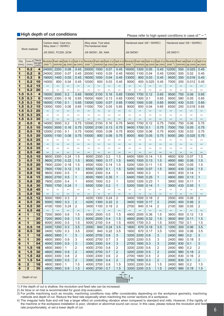#### High depth of cut conditions

Hease refer to high speed conditions in case of " — ".

|                         |                              |                                         |                          | Carbon steel, Cast iron,<br>Alloy steel $(-30HRC)$ |                                   |                          |                          | Alloy steel, Tool steel,<br>Pre-hardened steel |                                                                    |                          |                          |                          | Hardened steel (45 - 55HRC)    |                          |                                                                                                                                                                                                |                          | Hardened steel (55 - 62HRC)    |                          |
|-------------------------|------------------------------|-----------------------------------------|--------------------------|----------------------------------------------------|-----------------------------------|--------------------------|--------------------------|------------------------------------------------|--------------------------------------------------------------------|--------------------------|--------------------------|--------------------------|--------------------------------|--------------------------|------------------------------------------------------------------------------------------------------------------------------------------------------------------------------------------------|--------------------------|--------------------------------|--------------------------|
|                         | Work material                |                                         |                          | <b>JIS S50C, FC250, SCM</b>                        |                                   |                          |                          | JIS SKD61, SK, NAK                             |                                                                    |                          | <b>JIS SKD61</b>         |                          |                                |                          | <b>JIS SKD11</b>                                                                                                                                                                               |                          |                                |                          |
| Dia.<br>(mm)            | Corner <sub>R</sub><br>(mm)  | <b>Neck</b><br>length<br>$(m\tilde{m})$ | $(min^{-1})$             |                                                    | $(mm/min)$ ap $(mm)$ ae $(mm)$    |                          | $(min^{-1})$             |                                                | $\frac{1}{2}$ (mm/min) $\frac{1}{2}$ ap (mm) $\frac{1}{2}$ ae (mm) |                          | $(min^{-1})$             |                          | $(mm/min)$ ap $(mm)$ ae $(mm)$ |                          | Revolution Feed rate Depth of cut Depth of cut Revolution Feed rate Depth of cut Depth of cut Revolution Feed rate Depth of cut Revolution Feed rate Depth of cut Depth of cut<br>$(min^{-1})$ |                          | $(mm/min)$ ap $(mm)$ ae $(mm)$ |                          |
| 1                       | 0.2                          | 4                                       | 24000                    | 2200                                               | 0.08                              | 0.45                     | 20000                    | 1500                                           | 0.07                                                               | 0.45                     | 16000                    | 1200                     | 0.05                           | 0.45                     | 12000                                                                                                                                                                                          | 550                      | 0.025                          | 0.45                     |
| 1                       | 0.2                          | 6                                       | 24000                    | 2000                                               | 0.07                              | 0.45                     | 20000                    | 1400                                           | 0.05                                                               | 0.45                     | 16000                    | 1100                     | 0.04                           | 0.45                     | 12000                                                                                                                                                                                          | 500                      | 0.02                           | 0.45                     |
| 1                       | 0.2                          | 8                                       | 19000                    | 1400                                               | 0.05                              | 0.45                     | 16000                    | 1000                                           | 0.04                                                               | 0.45                     | 13000                    | 800                      | 0.03                           | 0.45                     | 9500                                                                                                                                                                                           | 350                      | 0.016                          | 0.45                     |
| 1                       | 0.2                          | 10                                      | 14000                    | 800                                                | 0.04                              | 0.45                     | 12000                    | 600                                            | 0.03                                                               | 0.45                     | 9000                     | 400                      | 0.025                          | 0.45                     | 7000                                                                                                                                                                                           | 200                      | 0.012                          | 0.45                     |
| 1                       | 0.2                          | 15                                      | —                        | —                                                  |                                   | —                        |                          |                                                |                                                                    |                          |                          | —                        |                                |                          |                                                                                                                                                                                                | —                        |                                |                          |
| 1                       | 0.2                          | 20                                      | $\overline{\phantom{0}}$ | —                                                  | $\qquad \qquad -$                 | —                        |                          |                                                | —                                                                  | $\qquad \qquad -$        |                          |                          | $\overline{\phantom{0}}$       | $\overline{\phantom{0}}$ | $\overline{\phantom{0}}$                                                                                                                                                                       |                          |                                | —                        |
| 1.5                     | 0.3                          | $\overline{\mathbf{4}}$                 | 19000                    | 3000                                               | 0.2                               | 0.65                     | 16000                    | 2100                                           | 0.16                                                               | 0.65                     | 13000                    | 1700                     | 0.12                           | 0.65                     | 9500                                                                                                                                                                                           | 750                      | 0.06                           | 0.65                     |
| 1.5                     | 0.3                          | 6                                       | 19000                    | 2300                                               | 0.16                              | 0.65                     | 16000                    | 1600                                           | 0.13                                                               | 0.65                     | 13000                    | 1300                     | 0.1                            | 0.65                     | 9500                                                                                                                                                                                           | 580                      | 0.05                           | 0.65                     |
| 1.5                     | 0.3                          | 10                                      | 16000                    | 1700                                               | 0.1                               | 0.65                     | 13000                    | 1200                                           | 0.07                                                               | 0.65                     | 11000                    | 1000                     | 0.05                           | 0.65                     | 8000                                                                                                                                                                                           | 430                      | 0.03                           | 0.65                     |
| 1.5                     | 0.3                          | 15                                      | 13000                    | 1000                                               | 0.06                              | 0.65                     | 11000                    | 700                                            | 0.05                                                               | 0.65                     | 9000                     | 600                      | 0.04                           | 0.65                     | 6500                                                                                                                                                                                           | 250                      | 0.018                          | 0.65                     |
| 1.5                     | 0.3                          | 20                                      | —                        | —                                                  | —                                 | —                        | —                        | —                                              | —                                                                  | —                        | —                        | —                        | —                              | —                        | —                                                                                                                                                                                              | —                        | —                              |                          |
| 1.5                     | 0.3                          | 25                                      | —                        | $\qquad \qquad -$                                  | —                                 | —                        | -                        | —                                              | —                                                                  | -                        | —                        | —                        |                                |                          | —                                                                                                                                                                                              | —                        | —                              | —                        |
| 1.5                     | 0.3                          | 30                                      | $\overline{\phantom{0}}$ | $\qquad \qquad -$                                  | $\qquad \qquad -$                 | $\qquad \qquad -$        |                          | $\overline{\phantom{0}}$                       | $\qquad \qquad -$                                                  | $\qquad \qquad -$        |                          | $\overline{\phantom{0}}$ | $\qquad \qquad -$              |                          | $\overline{\phantom{0}}$                                                                                                                                                                       | $\qquad \qquad -$        | $\qquad \qquad -$              | $\overline{\phantom{0}}$ |
| $\overline{\mathbf{2}}$ | 0.5                          | 6                                       | 14000                    | 3000                                               | 0.2                               | 0.75                     | 12000                    | 2100                                           | 0.16                                                               | 0.75                     | 9400                     | 1700                     | 0.12                           | 0.75                     | 7000                                                                                                                                                                                           | 750                      | 0.06                           | 0.75                     |
| $\overline{2}$          | 0.5                          | 10                                      | 14000                    | 3000                                               | 0.16                              | 0.75                     | 12000                    | 2100                                           | 0.13                                                               | 0.75                     | 9400                     | 1700                     | 0.1                            | 0.75                     | 7000                                                                                                                                                                                           | 750                      | 0.05                           | 0.75                     |
| $\mathbf{2}$            | 0.5                          | 15                                      | 12000                    | 2100                                               | 0.1                               | 0.75                     | 10000                    | 1500                                           | 0.08                                                               | 0.75                     | 8000                     | 1200                     | 0.06                           | 0.75                     | 6000                                                                                                                                                                                           | 530                      | 0.03                           | 0.75                     |
| $\mathbf{2}$            | 0.5                          | 20                                      | 12000                    | 1100                                               | 0.08                              | 0.75                     | 10000                    | 800                                            | 0.06                                                               | 0.75                     | 8000                     | 600                      | 0.05                           | 0.75                     | 6000                                                                                                                                                                                           | 280                      | 0.025                          | 0.75                     |
| $\mathbf{2}$            | 0.5                          | 25                                      |                          |                                                    |                                   |                          |                          |                                                |                                                                    |                          |                          |                          |                                | —                        |                                                                                                                                                                                                | —                        |                                |                          |
| $\mathbf{2}$            | 0.5                          | 30                                      | —                        | $\qquad \qquad -$                                  | $\qquad \qquad -$                 | —                        | —                        | $\qquad \qquad -$                              | —                                                                  | —                        | —                        | —                        | —                              | $\qquad \qquad -$        | —                                                                                                                                                                                              | —                        | —                              | —                        |
| $\mathbf{2}$            | 0.5                          | 35                                      | $\overline{\phantom{0}}$ | $\overline{\phantom{0}}$                           |                                   | —                        | —                        |                                                | —                                                                  | —                        | $\overline{\phantom{0}}$ | $\overline{\phantom{0}}$ |                                | $\overline{\phantom{0}}$ | $\overline{\phantom{0}}$                                                                                                                                                                       | $\overline{\phantom{0}}$ | $\overline{\phantom{0}}$       |                          |
| $\overline{2}$          | 0.5                          | 40                                      | $\overline{\phantom{0}}$ | $\overline{\phantom{0}}$                           | $\qquad \qquad -$                 | $\overline{\phantom{0}}$ | $\overline{\phantom{0}}$ | $\overline{\phantom{0}}$                       | $\overline{\phantom{0}}$                                           | $\overline{\phantom{0}}$ |                          |                          |                                |                          |                                                                                                                                                                                                |                          |                                | $\qquad \qquad -$        |
| 3<br>3                  | 0.5<br>0.5                   | 10<br>15                                | 9600<br>9600             | 3300<br>2700                                       | 0.24<br>0.22                      | 1.5<br>1.5               | 8000<br>8000             | 2300<br>1900                                   | 0.2<br>0.17                                                        | 1.5<br>1.5               | 6400<br>6400             | 1800<br>1500             | 0.14<br>0.13                   | 1.5<br>1.5               | 4800<br>4800                                                                                                                                                                                   | 830<br>680               | 0.07<br>0.06                   | 1.5<br>1.5               |
| 3                       | 0.5                          | 20                                      | 7800                     | 2200                                               | 0.18                              | 1.5                      | 6500                     | 1500                                           | 0.14                                                               | 1.5                      | 5200                     | 1200                     | 0.11                           | 1.5                      | 3900                                                                                                                                                                                           | 550                      | 0.05                           | 1.5                      |
| 3                       | 0.5                          | 30                                      | 7800                     | 1700                                               | 0.12                              | 1.5                      | 6500                     | 1200                                           | 0.1                                                                | 1.5                      | 5200                     | 1000                     | 0.07                           | 1.5                      | 3900                                                                                                                                                                                           | 430                      | 0.04                           | 1.5                      |
| 3                       | 0.8                          | 10                                      | 9600                     | 3300                                               | 0.5                               | 1                        | 8000                     | 2300                                           | 0.4                                                                | 1                        | 6400                     | 1800                     | 0.3                            | 1                        | 4800                                                                                                                                                                                           | 830                      | 0.14                           | 1                        |
| 3                       | 0.8                          | 15                                      | 9600                     | 2700                                               | 0.5                               | $\mathbf{1}$             | 8000                     | 1900                                           | 0.35                                                               | $\mathbf{1}$             | 6400                     | 1500                     | 0.25                           | $\mathbf{1}$             | 4800                                                                                                                                                                                           | 680                      | 0.13                           | $\mathbf{1}$             |
| 3                       | 0.8                          | 20                                      | 7800                     | 2200                                               | 0.4                               | 1                        | 6500                     | 1500                                           | 0.3                                                                | 1                        | 5200                     | 1200                     | 0.23                           | 1                        | 3900                                                                                                                                                                                           | 550                      | 0.11                           | 1                        |
| 3                       | 0.8                          | 30                                      | 7800                     | 1700                                               | 0.24                              | $\mathbf{1}$             | 6500                     | 1200                                           | 0.2                                                                | $\mathbf{1}$             | 5200                     | 1000                     | 0.14                           | $\mathbf{1}$             | 3900                                                                                                                                                                                           | 430                      | 0.05                           | $\mathbf{1}$             |
| 3                       | 0.8                          | 40                                      | $\overline{\phantom{0}}$ |                                                    | $\overbrace{\phantom{123221111}}$ |                          | —                        |                                                | —                                                                  | $\qquad \qquad -$        | —                        | —                        |                                | $\overline{\phantom{0}}$ | —                                                                                                                                                                                              | $\qquad \qquad -$        | $\overline{\phantom{0}}$       | $\overline{\phantom{0}}$ |
| 3                       | 0.8                          | 50                                      | $\qquad \qquad -$        | $\overline{\phantom{0}}$                           | —                                 |                          |                          |                                                | $\qquad \qquad -$                                                  |                          |                          |                          | $\qquad \qquad -$              |                          |                                                                                                                                                                                                |                          |                                | $\qquad \qquad -$        |
| $\overline{\bf 4}$      | 0.5                          | 12                                      | 5000                     | 1800                                               | 0.3                               | 2                        | 4200                     | 1300                                           | 0.24                                                               | 2                        | 3400                     | 1000                     | 0.18                           | $\overline{2}$           | 2500                                                                                                                                                                                           | 450                      | 0.06                           | 2                        |
| 4                       | 0.5                          | 20                                      | 5000                     | 1800                                               | 0.3                               | $\overline{2}$           | 4200                     | 1300                                           | 0.22                                                               | $\overline{2}$           | 3400                     | 1000                     | 0.17                           | $\overline{2}$           | 2500                                                                                                                                                                                           | 450                      | 0.06                           | $\overline{2}$           |
| 4                       | 0.5                          | 30                                      | 4100                     | 1500                                               | 0.24                              | 2                        | 3400                     | 1100                                           | 0.19                                                               | $\overline{2}$           | 2700                     | 840                      | 0.14                           | $\overline{2}$           | 2100                                                                                                                                                                                           | 380                      | 0.05                           | $\overline{2}$           |
| 4                       | 0.5                          | 48                                      | —                        | —                                                  | $\qquad \qquad -$                 | -                        | —                        | —                                              | —                                                                  | -                        | —                        | —                        | —                              | $\overline{\phantom{0}}$ | -                                                                                                                                                                                              | $\qquad \qquad -$        | -                              | —                        |
| $\overline{\mathbf{4}}$ | $\mathbf 1$                  | 12                                      | 7200                     | 3600                                               | 0.6                               | 1.5                      | 6000                     | 2500                                           | 0.5                                                                | 1.5                      | 4800                     | 2000                     | 0.36                           | 1.5                      | 3600                                                                                                                                                                                           | 900                      | 0.12                           | 1.5                      |
| 4                       | $\mathbf 1$                  | 20                                      | 7200                     | 3600                                               | 0.6                               | 1.5                      | 6000                     | 2500                                           | 0.4                                                                | 1.5                      | 4800                     | 2000                     | 0.32                           | 1.5                      | 3600                                                                                                                                                                                           | 900                      | 0.11                           | 1.5                      |
| 4                       | $\mathbf{1}$                 | 30                                      | 6000                     | 3000                                               | 0.5                               | 1.5                      | 5000                     | 2100                                           | 0.4                                                                | 1.5                      | 4000                     | 1700                     | 0.3                            | 1.5                      | 3000                                                                                                                                                                                           | 750                      | 0.1                            | 1.5                      |
| 6                       | 0.5                          | 18                                      | 2400                     | 1200                                               | 0.3                               | 3.5                      | 2000                     | 840                                            | 0.24                                                               | 3.5                      | 1600                     | 670                      | 0.18                           | 3.5                      | 1200                                                                                                                                                                                           | 300                      | 0.06                           | 3.5                      |
| 6                       | 0.5                          | 30                                      | 2400                     | 1200                                               | 0.3                               | 3.5                      | 2000                     | 840                                            | 0.22                                                               | 3.5                      | 1600                     | 670                      | 0.17                           | 3.5                      | 1200                                                                                                                                                                                           | 300                      | 0.06                           | 3.5                      |
| 6                       | 1                            | 18                                      | 4800                     | 3900                                               | $\mathbf{1}$                      | 3                        | 4000                     | 2700                                           | 0.8                                                                | 3                        | 3200                     | 2200                     | 0.6                            | 3                        | 2400                                                                                                                                                                                           | 980                      | 0.2                            | 3                        |
| 6<br>6                  | $\mathbf{1}$<br>$\mathbf{1}$ | 30<br>54                                | 4800<br>4000             | 3900<br>3300                                       | 0.9<br>0.5                        | 3<br>3                   | 4000<br>3300             | 2700<br>2300                                   | 0.7<br>0.4                                                         | 3<br>3                   | 3200<br>2700             | 2200<br>1800             | 0.5<br>0.3                     | 3<br>3                   | 2400<br>2000                                                                                                                                                                                   | 980<br>830               | 0.18<br>0.1                    | 3<br>3                   |
| 6                       | 1.5                          | 18                                      | 4800                     | 3900                                               | $\mathbf{1}$                      | 2                        | 4000                     | 2700                                           | 0.8                                                                | 2                        | 3200                     | 2200                     | 0.6                            | $\overline{\mathbf{c}}$  | 2400                                                                                                                                                                                           | 980                      | 0.2                            | $\overline{\mathbf{c}}$  |
| 6                       | 1.5                          | 30                                      | 4800                     | 3900                                               | 0.9                               | $\overline{\mathbf{c}}$  | 4000                     | 2700                                           | 0.7                                                                | 2                        | 3200                     | 2200                     | 0.5                            | $\mathbf 2$              | 2400                                                                                                                                                                                           | 980                      | 0.18                           | $\overline{\mathbf{c}}$  |
| 6                       | 1.5                          | 42                                      | 4000                     | 3300                                               | 0.8                               | 2                        | 3300                     | 2300                                           | 0.6                                                                | 2                        | 2700                     | 1800                     | 0.5                            | 2                        | 2000                                                                                                                                                                                           | 830                      | 0.16                           | 2                        |
| 6                       | 1.5                          | 54                                      | 4000                     | 3300                                               | 0.5                               | 2                        | 3300                     | 2300                                           | 0.4                                                                | $\overline{\mathbf{c}}$  | 2700                     | 1800                     | 0.3                            | $\overline{c}$           | 2000                                                                                                                                                                                           | 830                      | 0.1                            | 2                        |
| 6                       | $\mathbf{2}$                 | 18                                      | 4800                     | 3900                                               | 1                                 | 1.5                      | 4000                     | 2700                                           | 0.8                                                                | 1.5                      | 3200                     | 2200                     | 0.6                            | 1.5                      | 2400                                                                                                                                                                                           | 980                      | 0.2                            | 1.5                      |
| 6                       | $\overline{\mathbf{2}}$      | 30                                      | 4800                     | 3900                                               | 0.9                               | 1.5                      | 4000                     | 2700                                           | 0.7                                                                | 1.5                      | 3200                     | 2200                     | 0.5                            | 1.5                      | 2400                                                                                                                                                                                           | 980                      | 0.18                           | 1.5                      |
|                         |                              |                                         |                          |                                                    |                                   |                          |                          |                                                |                                                                    | ae                       |                          |                          |                                |                          |                                                                                                                                                                                                |                          |                                |                          |
|                         | Depth of cut                 |                                         |                          |                                                    |                                   |                          |                          |                                                |                                                                    |                          | ap                       |                          |                                |                          |                                                                                                                                                                                                |                          |                                |                          |

1) If the depth of cut is shallow, the revolution and feed rate can be increased.

2) Air blow or oil mist is recommended for good chip evacuation.

3) For profile machining such as moulds, machining conditions may differ considerably depending on the workpiece geometry, machining methods and depth of cut. Reduce the feed rate especially when machining the corner sections of a workpiece.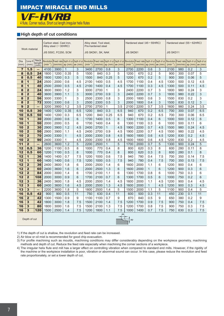

4 flute, Corner radius, Short cut length, Irregular helix flutes

#### **High depth of cut conditions**

|                | Work material               |                                       |              | Carbon steel, Cast iron,<br>Alloy steel (-30HRC) |                                |          |              | Alloy steel, Tool steel,<br>Pre-hardened steel |                                |                  |              | Hardened steel (45-55HRC) |              |                                                                                                                                                                                |                  | Hardened steel (55 - 62HRC) |              |                                |
|----------------|-----------------------------|---------------------------------------|--------------|--------------------------------------------------|--------------------------------|----------|--------------|------------------------------------------------|--------------------------------|------------------|--------------|---------------------------|--------------|--------------------------------------------------------------------------------------------------------------------------------------------------------------------------------|------------------|-----------------------------|--------------|--------------------------------|
|                |                             |                                       |              | JIS S50C, FC250, SCM                             |                                |          |              | JIS SKD61, SK, NAK                             |                                |                  | JIS SKD61    |                           |              |                                                                                                                                                                                | <b>JIS SKD11</b> |                             |              |                                |
| Dia.<br>(mm)   | Corner <sub>R</sub><br>(mm) | <b>Neck</b><br>length<br>$(m\bar{m})$ | $(min^{-1})$ | Revolution Feed rate Depth of cut Depth of cut   | $(mm/min)$ ap $(mm)$ ae $(mm)$ |          | $(min^{-1})$ |                                                | $(mm/min)$ ap $(mm)$ ae $(mm)$ |                  | $(min^{-1})$ |                           |              | Revolution Feed rate Depth of cut Depth of cut Revolution Feed rate Depth of cut Depth of cut Revolution Feed rate Depth of cut Depth of cut<br>$(mm/min)$ ap $(mm)$ ae $(mm)$ | $(min^{-1})$     |                             |              | $(mm/min)$ ap $(mm)$ ae $(mm)$ |
| $\overline{7}$ | 1.5                         | -                                     | 4100         | 3900                                             | $\mathbf{1}$                   | 3        | 3400         | 2700                                           | 0.8                            | 3                | 2700         | 2200                      | 0.6          | 3                                                                                                                                                                              | 2100             | 980                         | 0.2          | 3                              |
| 8              | 0.5                         | 24                                    | 1800         | 1200                                             | 0.35                           | 5        | 1500         | 840                                            | 0.3                            | 5                | 1200         | 670                       | 0.2          | 5                                                                                                                                                                              | 900              | 300                         | 0.07         | 5                              |
| 8              | 0.5                         | 40                                    | 1800         | 1200                                             | 0.3                            | 5        | 1500         | 840                                            | 0.25                           | 5                | 1200         | 670                       | 0.2          | 5                                                                                                                                                                              | 900              | 300                         | 0.06         | 5                              |
| 8              | $\overline{\mathbf{1}}$     | 24                                    | 2500         | 2000                                             | 0.6                            | 4.5      | 2100         | 1400                                           | 0.5                            | 4.5              | 1700         | 1100                      | 0.4          | 4.5                                                                                                                                                                            | 1300             | 500                         | 0.12         | 4.5                            |
| 8              | $\mathbf{1}$                | 40                                    | 2500         | 2000                                             | 0.5                            | 4.5      | 2100         | 1400                                           | 0.4                            | 4.5              | 1700         | 1100                      | 0.3          | 4.5                                                                                                                                                                            | 1300             | 500                         | 0.11         | 4.5                            |
| 8              | $\overline{2}$              | 24                                    | 3600         | 3900                                             | 1.2                            | 3        | 3000         | 2700                                           | 1                              | 3                | 2400         | 2200                      | 0.7          | 3                                                                                                                                                                              | 1800             | 980                         | 0.24         | 3                              |
| 8              | $\overline{\mathbf{2}}$     | 40                                    | 3600         | 3900                                             | 1.1                            | 3        | 3000         | 2700                                           | 0.9                            | 3                | 2400         | 2200                      | 0.7          | $\ensuremath{\mathsf{3}}$                                                                                                                                                      | 1800             | 980                         | 0.22         | 3                              |
| 8              | $\overline{\mathbf{2}}$     | 56                                    | 3000         | 3300                                             | $\mathbf{1}$                   | 3        | 2500         | 2300                                           | 0.8                            | 3                | 2000         | 1800                      | 0.6          | 3                                                                                                                                                                              | 1500             | 830                         | 0.2          | 3                              |
| 8              | $\overline{\mathbf{2}}$     | $\overline{72}$                       | 3000         | 3300                                             | 0.6                            | 3        | 2500         | 2300                                           | 0.5                            | 3                | 2000         | 1800                      | 0.4          | $\mathsf 3$                                                                                                                                                                    | 1500             | 830                         | 0.12         | 3                              |
| $\overline{9}$ | $\overline{2}$              | $\equiv$                              | 3200         | 3900                                             | 1.2                            | 3.5      | 2700         | 2700                                           | $\mathbf{1}$                   | $\overline{3.5}$ | 2100         | 2200                      | 0.7          | $\overline{3.5}$                                                                                                                                                               | 1600             | 980                         | 0.24         | 3.5                            |
| 10             | 0.5<br>0.5                  | 30                                    | 1400         | 1200                                             | 0.35                           | 6.5      | 1200         | 840                                            | 0.3                            | 6.5              | 940          | 670                       | 0.2          | 6.5                                                                                                                                                                            | 700              | 300                         | 0.07         | 6.5                            |
| 10<br>10       | $\overline{\mathbf{1}}$     | 50<br>30                              | 1400<br>2000 | 1200<br>2000                                     | 0.3<br>0.6                     | 6.5<br>6 | 1200<br>1700 | 840<br>1400                                    | 0.25<br>0.5                    | 6.5<br>6         | 940<br>1300  | 670<br>1100               | 0.2          | 6.5<br>6                                                                                                                                                                       | 700<br>1000      | 300                         | 0.06         | 6.5<br>6                       |
| 10             | $\overline{\mathbf{1}}$     | 50                                    | 2000         | 2000                                             | 0.5                            | 6        | 1700         | 1400                                           | 0.4                            | 6                | 1300         | 1100                      | 0.4<br>0.3   | 6                                                                                                                                                                              | 1000             | 500<br>500                  | 0.12<br>0.11 | 6                              |
| 10             | $\overline{2}$              | 30                                    | 2900         | 3900                                             | 1.2                            | 4.5      | 2400         | 2700                                           | $\mathbf{1}$                   | 4.5              | 1900         | 2200                      | 0.7          | 4.5                                                                                                                                                                            | 1500             | 980                         | 0.24         | 4.5                            |
| 10             | $\overline{2}$              | 50                                    | 2900         | 3900                                             | 1.1                            | 4.5      | 2400         | 2700                                           | 0.9                            | 4.5              | 1900         | 2200                      | 0.7          | 4.5                                                                                                                                                                            | 1500             | 980                         | 0.22         | 4.5                            |
| 10             | $\overline{2}$              | 70                                    | 2400         | 3300                                             | $\mathbf{1}$                   | 4.5      | 2000         | 2300                                           | 0.8                            | 4.5              | 1600         | 1800                      | 0.6          | 4.5                                                                                                                                                                            | 1200             | 830                         | 0.2          | 4.5                            |
| 10             | $\overline{2}$              | 90                                    | 2400         | 3300                                             | 1                              | 4.5      | 2000         | 2300                                           | 0.8                            | 4.5              | 1600         | 1800                      | 0.6          | 4.5                                                                                                                                                                            | 1200             | 830                         | 0.2          | 4.5                            |
| 11             | $\overline{2}$              | -                                     | 2600         | 3600                                             | 1.2                            | 5        | 2200         | 2500                                           | $\mathbf{1}$                   | 5                | 1700         | 2000                      | 0.7          | 5                                                                                                                                                                              | 1300             | 900                         | 0.24         | 5                              |
| 12             | 0.5                         | 36                                    | 1200         | 1100                                             | 0.5                            | 8        | 1000         | 770                                            | 0.4                            | 8                | 800          | 620                       | 0.3          | 8                                                                                                                                                                              | 600              | 280                         | 0.11         | 8                              |
| 12             | 0.5                         | 60                                    | 1200         | 1100                                             | 0.5                            | 8        | 1000         | 770                                            | 0.4                            | 8                | 800          | 620                       | 0.3          | 8                                                                                                                                                                              | 600              | 280                         | 0.1          | 8                              |
| 12             | $\overline{\mathbf{1}}$     | 36                                    | 1400         | 1400                                             | 0.7                            | 7.5      | 1200         | 1000                                           | 0.6                            | 7.5              | 940          | 780                       | 0.4          | 7.5                                                                                                                                                                            | 700              | 350                         | 0.14         | 7.5                            |
| 12             | $\overline{\mathbf{1}}$     | 60                                    | 1400         | 1400                                             | 0.6                            | 7.5      | 1200         | 1000                                           | 0.5                            | 7.5              | 940          | 780                       | 0.4          | 7.5                                                                                                                                                                            | 700              | 350                         | 0.13         | 7.5                            |
| 12             | $\overline{2}$              | 36                                    | 2400         | 3600                                             | 1.8                            | 6        | 2000         | 2500                                           | 1.4                            | 6                | 1600         | 2000                      | 1.1          | 6                                                                                                                                                                              | 1200             | 900                         | 0.4          | 6                              |
| 12             | $\overline{2}$              | 60                                    | 2400         | 3600                                             | 1.6                            | 6        | 2000         | 2500                                           | 1.3                            | 6                | 1600         | 2000                      | $\mathbf{1}$ | 6                                                                                                                                                                              | 1200             | 900                         | 0.3          | 6                              |
| 12             | $\overline{\mathbf{2}}$     | 84                                    | 2000         | 3000                                             | 1.4                            | 6        | 1700         | 2100                                           | 1.1                            | 6                | 1300         | 1700                      | 0.8          | 6                                                                                                                                                                              | 1000             | 750                         | 0.3          | 6                              |
| 12             | $\overline{2}$              | 108                                   | 2000         | 3000                                             | 0.9                            | 6        | 1700         | 2100                                           | 0.7                            | 6                | 1300         | 1700                      | 0.5          | 6                                                                                                                                                                              | 1000             | 750                         | 0.2          | 6                              |
| 12             | 3                           | 36                                    | 2400         | 3600                                             | 1.8                            | 4.5      | 2000         | 2500                                           | 1.4                            | 4.5              | 1600         | 2000                      | 1.1          | 4.5                                                                                                                                                                            | 1200             | 900                         | 0.4          | 4.5                            |
| 12             | 3                           | 60                                    | 2400         | 3600                                             | 1.6                            | 4.5      | 2000         | 2500                                           | 1.3                            | 4.5              | 1600         | 2000                      | $\mathbf{1}$ | 4.5                                                                                                                                                                            | 1200             | 900                         | 0.3          | 4.5                            |
| 13             | $\overline{\mathbf{3}}$     | -                                     | 2200         | 3600                                             | 1.8                            | 5        | 1800         | 2500                                           | 1.4                            | 5                | 1500         | 2000                      | 1.1          | 5                                                                                                                                                                              | 1100             | 900                         | 0.4          | 5                              |
| 16             | 0.5                         | 42                                    | 900          | 900                                              | 0.5                            | 11       | 750          | 630                                            | 0.4                            | 11               | 600          | 500                       | 0.3          | 11                                                                                                                                                                             | 450              | 230                         | 0.1          | 11                             |
| 16             | $\overline{2}$              | 42                                    | 1300         | 1500                                             | 0.9                            | 9        | 1100         | 1100                                           | 0.7                            | 9                | 870          | 840                       | 0.5          | 9                                                                                                                                                                              | 650              | 380                         | 0.2          | 9                              |
| 16             | 3                           | 42                                    | 1800         | 3000                                             | 1.8                            | 7.5      | 1500         | 2100                                           | 1.4                            | 7.5              | 1200         | 1700                      | 0.9          | 7.5                                                                                                                                                                            | 900              | 750                         | 0.4          | 7.5                            |
| 16             | 3                           | 80                                    | 1800         | 3000                                             | 1.6                            | 7.5      | 1500         | 2100                                           | 1.3                            | 7.5              | 1200         | 1700                      | 0.8          | 7.5                                                                                                                                                                            | 900              | 750                         | 0.3          | 7.5                            |
| 16             | 3                           | 120                                   | 1500         | 2500                                             | 1.4                            | 7.5      | 1200         | 1800                                           | 1.1                            | 7.5              | 1000         | 1400                      | 0.7          | 7.5                                                                                                                                                                            | 750              | 630                         | 0.3          | 7.5                            |
|                | Depth of cut                |                                       |              |                                                  |                                |          |              |                                                |                                | ae               | ap           |                           |              |                                                                                                                                                                                |                  |                             |              |                                |

1) If the depth of cut is shallow, the revolution and feed rate can be increased.

2) Air blow or oil mist is recommended for good chip evacuation.

3) For profile machining such as moulds, machining conditions may differ considerably depending on the workpiece geometry, machining methods and depth of cut. Reduce the feed rate especially when machining the corner sections of a workpiece.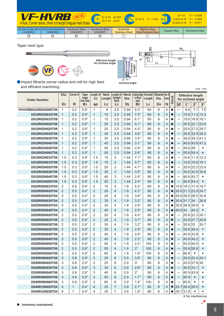|                  | <b>VF-HVRB</b> NEW<br>4 flute, Corner radius, Short cut length, Irregular helix flutes              |                                   |                                         |                                      | $R$ $D1 \le 10$ $\pm 0.007$ $D1 \le 12$ $0 - 0.02$ h6 | $D4 = 6$            | $0 - -0.008$<br>$8 \le D4 \le 10$ 0 - -0.009<br>$12 \leq D4 \leq 16$ 0 - -0.011 |
|------------------|-----------------------------------------------------------------------------------------------------|-----------------------------------|-----------------------------------------|--------------------------------------|-------------------------------------------------------|---------------------|---------------------------------------------------------------------------------|
| ( <b>30HRC</b> ) | Carbon Steel, Alloy Steel, Cast Iron   Tool Steel, Pre-Hardened Steel, Hardened Steel  <br>(≤45HRC) | <b>Hardened Steel</b><br>(555HRC) | <b>Hardened Steel</b><br>$($ >55HRC $)$ | Austenitic<br><b>Stainless Steel</b> | <b>Titanium Alloy,</b><br><b>Heat Resistant Alloy</b> | <b>Copper Alloy</b> | <b>Aluminium Alloy</b>                                                          |
| O                |                                                                                                     |                                   | $\circledcirc$                          |                                      |                                                       |                     |                                                                                 |

**øD1**

**Inclined angle** 

 $R \sim 1$ 

**øD5**

**L2**

**L3**

**L1**

**B1 15°**

**B2**

Taper neck type



a Impact Miracle corner radius end mill for high feed and efficient machining.

| and emclent machining.           |                                  |                     |                            |                                  |                       |                                    |                     |                            |                |                              |                     |                        |                          |                         |                                   | Unit: mm     |
|----------------------------------|----------------------------------|---------------------|----------------------------|----------------------------------|-----------------------|------------------------------------|---------------------|----------------------------|----------------|------------------------------|---------------------|------------------------|--------------------------|-------------------------|-----------------------------------|--------------|
|                                  | Dia.                             | Corner <sub>R</sub> | <b>Taper</b><br>Angle      | Length of<br>Cut                 | <b>Neck</b><br>Length | Length of                          | <b>Neck</b><br>Dia. | Cutting Edge<br>to Shank   | Length         | Overall Shank No. of<br>Dia. | Flutes              |                        |                          |                         | <b>Effective length</b>           |              |
| <b>Order Number</b>              | D <sub>1</sub>                   | R.                  | One Side<br>B <sub>1</sub> | ap                               | L <sub>3</sub>        | Straight<br>Neck<br>L <sub>2</sub> | D <sub>5</sub>      | Angle<br>B <sub>2</sub>    | L <sub>1</sub> | D <sub>4</sub>               | N                   | <b>Stock</b>           | 30'                      | $1^{\circ}$             | for inclined angle<br>$2^{\circ}$ | $3^\circ$    |
| VFHVRBD010R02N006T09             | 1                                | 0.2                 | $0.9^\circ$                | 1                                | 6                     | 2.5                                | 0.94                | $9.3^\circ$                | 60             | 6                            | $\overline{4}$      | $\bullet$              | —                        | 6.6                     | 7.1                               | 7.6          |
| D010R02N010T09                   | $\mathbf{1}$                     | 0.2                 | $0.9^\circ$                | 1                                | 10                    | 2.5                                | 0.94                | $7.5^\circ$                | 60             | 6                            | $\overline{4}$      | $\bullet$              | —                        | 10.6                    | 11.4                              | 12.3         |
| D010R02N015T09                   | 1                                | 0.2                 | $0.9^\circ$                | 1                                | 15                    | 2.5                                | 0.94                | $6.1^\circ$                | 60             | 6                            | $\overline{4}$      | $\bullet$              | —                        | 15.6                    | 16.8                              | 18.1         |
| D010R02N020T09                   | $\mathbf{1}$                     | 0.2                 | $0.9^\circ$                | 1                                | 20                    | 2.5                                | 0.94                | $5.1^\circ$                | 80             | 6                            | 4                   | $\bullet$              | —                        | 20.6 22.1               |                                   | 23.9         |
| D010R02N025T09                   | $\mathbf{1}$                     | 0.2                 | $0.9^\circ$                | 1                                | 25                    | 2.5                                | 0.94                | $4.4^\circ$                | 80             | 6                            | $\overline{4}$      | $\bullet$              | $\overline{\phantom{0}}$ |                         | 25.6 27.5                         | 29.7         |
| D010R02N030T09                   | $\mathbf{1}$                     | 0.2                 | $0.9^\circ$                | 1                                | 30                    | 2.5                                | 0.94                | $3.8^\circ$                | 80             | 6                            | $\overline{4}$      | $\bullet$              | —                        |                         | 30.6 32.9 35.5                    |              |
| D010R02N035T09                   | $\mathbf{1}$                     | 0.2                 | $0.9^\circ$                | 1                                | 35                    | 2.5                                | 0.94                | $3.4^\circ$                | 90             | 6                            | $\overline{4}$      | $\bullet$              | -                        |                         | 35.6 38.3 41.3                    |              |
| D010R02N040T09                   | $\mathbf{1}$                     | 0.2                 | $0.9^\circ$                | $\mathbf{1}$                     | 40                    | 2.5                                | 0.94                | $3.1^\circ$                | 90             | 6                            | $\overline{4}$      | $\bullet$              | —                        |                         | 40.6 43.6 47.2                    |              |
| D010R02N045T09                   | 1                                | 0.2                 | $0.9^\circ$                | 1                                | 45                    | 2.5                                | 0.94                | $2.8^\circ$                | 90             | 6                            | 4                   | $\bullet$              | $\overline{\phantom{0}}$ | 45.6                    | 49                                | *            |
| D010R02N050T09                   | 1                                | 0.2                 | $0.9^\circ$                | 1                                | 50                    | 2.5                                | 0.94                | $2.6^\circ$                | 90             | 6                            | 4                   | $\bullet$              | —                        | 50.6 54.4               |                                   | $\star$      |
| D015R03N010T09                   | 1.5                              | 0.3                 | $0.9^\circ$                | 1.5                              | 10                    | 3                                  | 1.44                | $7.1^\circ$                | 60             | 6                            | 4                   | $\bullet$              | $\overline{\phantom{0}}$ |                         | $10.6$ 11.4                       | 12.3         |
| D015R03N015T09                   | 1.5                              | 0.3                 | $0.9^\circ$                | 1.5                              | 15                    | 3                                  | 1.44                | $5.7^\circ$                | 60             | 6                            | 4                   | $\bullet$              | $\overline{\phantom{0}}$ | 15.6                    | 16.8                              | 18.1         |
| D015R03N020T09                   | 1.5                              | 0.3                 | $0.9^\circ$                | 1.5                              | 20                    | 3                                  | 1.44                | $4.7^\circ$                | 80             | 6                            | 4                   | $\bullet$              | $\overline{\phantom{0}}$ |                         | 20.6 22.2                         | 23.9         |
| D015R03N030T09                   | 1.5                              | 0.3                 | $0.9^\circ$                | 1.5                              | 30                    | 3                                  | 1.44                | $3.5^\circ$                | 80             | 6                            | 4                   | $\bullet$              | $\overline{\phantom{0}}$ |                         | 30.6 32.9 35.6                    |              |
| D015R03N040T09                   | 1.5                              | 0.3                 | $0.9^\circ$                | 1.5                              | 40                    | 3                                  | 1.44                | $2.8^\circ$                | 90             | 6                            | 4                   | $\bullet$              | —                        | 40.6 43.7               |                                   | $\star$      |
| D015R03N050T09                   | 1.5                              | 0.3                 | $0.9^\circ$                | 1.5                              | 50                    | 3                                  | 1.44                | $2.4^\circ$                | 90             | 6                            | 4                   | $\bullet$              | —                        |                         | 50.6 54.4                         | $\star$      |
| D020R05N015T04                   | 2                                | 0.5                 | $0.4^\circ$                | 2                                | 15                    | 4                                  | 1.9                 | $5.2^\circ$                | 60             | 6                            | 4                   | $\bullet$              | 15.6                     | 16.2 <br>20.6 21.3 22.9 | 17.4                              | 18.7         |
| D020R05N020T04<br>D020R05N025T04 | $\overline{2}$<br>$\overline{2}$ | 0.5<br>0.5          | $0.4^\circ$<br>$0.4^\circ$ | $\overline{2}$<br>$\overline{2}$ | 20<br>25              | $\overline{4}$<br>4                | 1.9<br>1.9          | $4.3^\circ$<br>$3.6^\circ$ | 80<br>80       | 6<br>6                       | $\overline{4}$<br>4 | $\bullet$<br>$\bullet$ |                          | 25.6 26.5 28.5          |                                   | 24.7<br>30.8 |
| D020R05N030T04                   | $\overline{2}$                   | 0.5                 | $0.4^\circ$                | $\overline{2}$                   | 30                    | 4                                  | 1.9                 | $3.2^\circ$                | 80             | 6                            | $\overline{4}$      | $\bullet$              |                          | 30.6 31.7 34            |                                   | 36.8         |
| D020R05N035T04                   | $\overline{2}$                   | 0.5                 | $0.4^\circ$                | $\overline{2}$                   | 35                    | 4                                  | 1.9                 | $2.8^\circ$                | 80             | 6                            | 4                   | $\bullet$              |                          | 35.6 36.9 39.6          |                                   | $\star$      |
| D020R05N040T04                   | $\overline{2}$                   | 0.5                 | $0.4^\circ$                | $\overline{2}$                   | 40                    | 4                                  | 1.9                 | $2.5^\circ$                | 80             | 6                            | $\overline{4}$      |                        | 40.6 42                  |                         | 45.2                              | $\star$      |
| D020R05N020T09                   | $\overline{2}$                   | 0.5                 | $0.9^\circ$                | 2                                | 20                    | 4                                  | 1.9                 | $4.4^\circ$                | 80             | 6                            | 4                   | $\bullet$              | -                        |                         | 20.8 22.3                         | 24.1         |
| D020R05N025T09                   | $\overline{2}$                   | 0.5                 | $0.9^\circ$                | $\overline{2}$                   | 25                    | 4                                  | 1.9                 | $3.7^\circ$                | 90             | 6                            | 4                   | $\bullet$              | —                        | 25.8 27.7               |                                   | 29.9         |
| D020R05N030T09                   | $\overline{2}$                   | 0.5                 | $0.9^\circ$                | $\overline{2}$                   | 30                    | 4                                  | 1.9                 | $3.2^\circ$                | 90             | 6                            | 4                   | $\bullet$              | $\overline{\phantom{0}}$ | $30.8$ 33               |                                   | 35.7         |
| D020R05N035T09                   | $\overline{2}$                   | 0.5                 | $0.9^\circ$                | $\overline{2}$                   | 35                    | $\overline{4}$                     | 1.9                 | $2.9^\circ$                | 90             | 6                            | 4                   | $\bullet$              | —                        | 35.8 38.4               |                                   | $\star$      |
| D020R05N040T09                   | 2                                | 0.5                 | $0.9^\circ$                | 2                                | 40                    | 4                                  | 1.9                 | $2.6^\circ$                | 90             | 6                            | 4                   | $\bullet$              | —                        | 40.8 43.8               |                                   | *            |
| D020R05N045T09                   | $\overline{2}$                   | 0.5                 | $0.9^\circ$                | $\overline{2}$                   | 45                    | 4                                  | 1.9                 | $2.3^\circ$                | 90             | 6                            | 4                   | $\bullet$              | $\overline{\phantom{0}}$ | 45.8 49.2               |                                   | $^\star$     |
| D020R05N050T09                   | 2                                | 0.5                 | $0.9^\circ$                | $\overline{2}$                   | 50                    | 4                                  | 1.9                 | $2.2^\circ$                | 100            | 6                            | 4                   | $\bullet$              | $\overline{\phantom{0}}$ | 50.8 54.5               |                                   | *            |
| D020R05N055T09                   | $\overline{2}$                   | 0.5                 | $0.9^\circ$                | 2                                | 55                    | 4                                  | 1.9                 | $2^{\circ}$                | 100            | 6                            | 4                   |                        | $\overline{\phantom{0}}$ | 55.8 59.9               |                                   | $\star$      |
| D020R05N060T09                   | $\overline{2}$                   | 0.5                 | $0.9^\circ$                | $\overline{2}$                   | 60                    | 4                                  | 1.9                 | $1.8^\circ$                | 100            | 6                            | 4                   | $\bullet$              | $\overline{\phantom{0}}$ | 60.8                    | $\star$                           | *            |
| D030R08N020T09                   | 3                                | 0.8                 | $0.9^\circ$                | 3                                | 20                    | 6                                  | 2.9                 | $3.6^\circ$                | 80             | 6                            | 4                   |                        |                          |                         | 20.9 22.4 24.1                    |              |
| D030R08N025T09                   | $\ensuremath{\mathsf{3}}$        | 0.8                 | $0.9^\circ$                | $\sqrt{3}$                       | 25                    | 6                                  | 2.9                 | $3^\circ$                  | 80             | 6                            | 4                   |                        | -                        |                         | 25.9 27.8 30                      |              |
| D030R08N030T09                   | 3                                | 0.8                 | $0.9^\circ$                | 3                                | 30                    | 6                                  | 2.9                 | $2.6^\circ$                | 80             | 6                            | 4                   | $\bullet$              |                          | $30.9$ 33.1             |                                   | $^\star$     |
| D030R08N040T09                   | 3                                | 0.8                 | $0.9^\circ$                | 3                                | 40                    | 6                                  | 2.9                 | $2^{\circ}$                | 90             | 6                            | 4                   | $\bullet$              | —                        | 40.943.9                |                                   | *            |
| D030R08N050T09                   | 3                                | 0.8                 | $0.9^\circ$                | 3                                | 50                    | 6                                  | 2.9                 | $1.7^\circ$                | 90             | 6                            | 4                   |                        | —                        | 50.9                    | $\star$                           | $^\star$     |
| D030R08N060T09                   | 3                                | 0.8                 | $0.9^\circ$                | 3                                | 60                    | 6                                  | 2.9                 | $1.4^\circ$                | 100            | 6                            | 4                   |                        | $\overline{\phantom{0}}$ | 60.9                    | $\star$                           | *            |
| D040R10N025T04                   | 4                                | 1                   | $0.4^\circ$                | $\overline{4}$                   | 25                    | $\overline{7}$                     | 3.9                 | $2.1^\circ$                | 80             | 6                            | 4                   |                        |                          | 25.7 26.6 28.5          |                                   | $\star$      |
| D040R10N030T04                   | 4                                | 1                   | $0.4^\circ$                | $\overline{4}$                   | 30                    | $\overline{7}$                     | 3.9                 | $1.8^\circ$                | 80             | 6                            | 4                   | $\bullet$              |                          | 30.7 31.8               | $\star$                           | *            |

\* No interference

**øD4(h6)**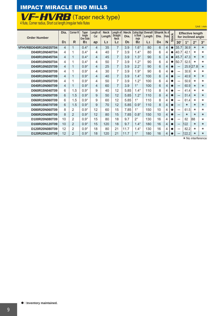### IMPACT MIRACLE END MILLS

## VF-HVRB (Taper neck type)

<u>4 flute, Corner radius, Short cut length,Irregular helix flutes</u>

| <b>Order Number</b>  | Dia.           | <b>Corner R</b> | <b>Taper</b><br>Angle<br>One Side | Length of<br>Cut | <b>Neck</b><br>Length | Length of<br><b>Straight</b><br><b>Neck</b> | <b>Neck</b><br>Dia. | Cutting Edge<br>to Shank<br>Angle | Overall<br>Length | Shank No. of<br>Dia. | <b>IF</b> lutes | ock       |                          | <b>Effective length</b><br>for inclined angle |             |           |
|----------------------|----------------|-----------------|-----------------------------------|------------------|-----------------------|---------------------------------------------|---------------------|-----------------------------------|-------------------|----------------------|-----------------|-----------|--------------------------|-----------------------------------------------|-------------|-----------|
|                      | D <sub>1</sub> | $\mathsf{R}$    | B <sub>1</sub>                    | ap               | L3                    | L2                                          | D <sub>5</sub>      | B <sub>2</sub>                    | L <sub>1</sub>    | D <sub>4</sub>       | N               | ぁ         | 30'                      | $1^{\circ}$                                   | $2^{\circ}$ | $3^\circ$ |
| VFHVRBD040R10N035T04 | 4              | $\mathbf 1$     | $0.4^\circ$                       | 4                | 35                    | $\overline{7}$                              | 3.9                 | $1.6^\circ$                       | 80                | 6                    | 4               |           | 35.7                     | 36.9                                          | $\star$     | $\star$   |
| D040R10N040T04       | 4              | 1               | $0.4^\circ$                       | 4                | 40                    | 7                                           | 3.9                 | $1.4^\circ$                       | 80                | 6                    | 4               |           | 40.7                     | 42.1                                          | $\star$     | *         |
| D040R10N045T04       | 4              | 1               | $0.4^\circ$                       | 4                | 45                    | $\overline{7}$                              | 3.9                 | $1.3^\circ$                       | 90                | 6                    | 4               |           | 45.7                     | 47.3                                          | $\star$     | $\star$   |
| D040R10N050T04       | 4              | 1               | $0.4^\circ$                       | 4                | 50                    | 7                                           | 3.9                 | $1.2^\circ$                       | 90                | 6                    | 4               | ●         | 50.7                     | 52.5                                          | $\star$     | $\star$   |
| D040R10N025T09       | 4              | 1               | $0.9^\circ$                       | 4                | 25                    | $\overline{7}$                              | 3.9                 | $2.2^\circ$                       | 90                | 6                    | 4               |           | —                        | 25.9                                          | 27.8        | $\star$   |
| D040R10N030T09       | 4              | 1               | $0.9^\circ$                       | 4                | 30                    | 7                                           | 3.9                 | $1.9^\circ$                       | 90                | 6                    | 4               |           | $\overline{\phantom{0}}$ | 30.9                                          | $\star$     | $\star$   |
| D040R10N040T09       | 4              | $\mathbf 1$     | $0.9^\circ$                       | 4                | 40                    | $\overline{7}$                              | 3.9                 | $1.4^\circ$                       | 100               | 6                    | 4               |           | —                        | 40.9                                          | $\star$     | $\star$   |
| D040R10N050T09       | 4              | 1               | $0.9^\circ$                       | 4                | 50                    | 7                                           | 3.9                 | $1.2^\circ$                       | 100               | 6                    | 4               | ●         |                          | 50.9                                          | $\star$     | $\star$   |
| D040R10N060T09       | 4              | $\mathbf 1$     | $0.9^\circ$                       | 4                | 60                    | 7                                           | 3.9                 | $1^{\circ}$                       | 100               | 6                    | 4               |           | —                        | 60.9                                          | $\star$     | $\star$   |
| D060R15N040T09       | 6              | 1.5             | $0.9^\circ$                       | 9                | 40                    | 12                                          | 5.85                | $1.4^\circ$                       | 110               | 8                    | 4               |           | —                        | 41.4                                          | $\star$     | $\star$   |
| D060R15N050T09       | 6              | 1.5             | $0.9^\circ$                       | 9                | 50                    | 12                                          | 5.85                | $1.2^\circ$                       | 110               | 8                    | 4               | $\bullet$ |                          | 51.4                                          | $\star$     | $\star$   |
| D060R15N060T09       | 6              | 1.5             | $0.9^\circ$                       | 9                | 60                    | 12                                          | 5.85                | $1^{\circ}$                       | 110               | 8                    | 4               |           |                          | 61.4                                          | $\star$     | $\star$   |
| D060R15N070T09       | 6              | 1.5             | $0.9^\circ$                       | 9                | 70                    | 12                                          | 5.85                | $0.9^\circ$                       | 110               | 8                    | $\overline{4}$  | $\bullet$ |                          | $\star$                                       | $\star$     | $\star$   |
| D080R20N060T09       | 8              | 2               | $0.9^\circ$                       | 12               | 60                    | 15                                          | 7.85                | $1^{\circ}$                       | 150               | 10                   | 4               | ●         |                          | 61.5                                          | *           | $\star$   |
| D080R20N080T09       | 8              | $\overline{2}$  | $0.9^\circ$                       | 12               | 80                    | 15                                          | 7.85                | $0.8^\circ$                       | 150               | 10                   | 4               |           |                          | $\star$                                       | $\star$     | $\star$   |
| D100R20N080T09       | 10             | $\overline{2}$  | $0.9^\circ$                       | 15               | 80                    | 18                                          | 9.7                 | $2^{\circ}$                       | 130               | 16                   | 4               |           |                          | 82                                            | 88          | $\star$   |
| D100R20N120T09       | 10             | $\overline{2}$  | $0.9^\circ$                       | 15               | 120                   | 18                                          | 9.7                 | $1.4^\circ$                       | 180               | 16                   | 4               | $\bullet$ | $\qquad \qquad$          | 122                                           | $\star$     | $\star$   |
| D120R20N080T09       | 12             | $\overline{2}$  | $0.9^\circ$                       | 18               | 80                    | 21                                          | 11.7                | $1.4^\circ$                       | 130               | 16                   | 4               | ●         |                          | 82.2                                          | $\star$     | $\star$   |
| D120R20N120T09       | 12             | $\overline{2}$  | $0.9^\circ$                       | 18               | 120                   | 21                                          | 11.7                | $1^{\circ}$                       | 180               | 16                   | 4               |           |                          | 122.2                                         | $\star$     | $\star$   |

\* No interference

Unit **:** mm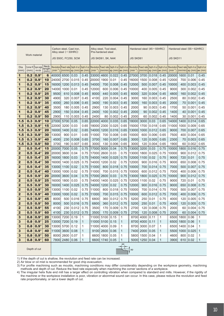|              |               |                      |                |                   | Alloy steel (-30HRC) | Carbon steel, Cast iron,                                                                     |              |                 | Alloy steel, Tool steel,<br>Pre-hardened steel |                                                               |              |                  |                | Hardened steel $(45 - 55$ HRC)     |              |                                                                                  |                | Hardened steel $(55-62HRC)$ |              |
|--------------|---------------|----------------------|----------------|-------------------|----------------------|----------------------------------------------------------------------------------------------|--------------|-----------------|------------------------------------------------|---------------------------------------------------------------|--------------|------------------|----------------|------------------------------------|--------------|----------------------------------------------------------------------------------|----------------|-----------------------------|--------------|
|              | Work material |                      |                |                   |                      | JIS S50C, FC250, SCM                                                                         |              |                 | JIS SKD61, SK, NAK                             |                                                               |              | <b>JIS SKD61</b> |                |                                    |              | JIS SKD11                                                                        |                |                             |              |
|              |               |                      |                |                   |                      |                                                                                              |              |                 |                                                |                                                               |              |                  |                |                                    |              |                                                                                  |                |                             |              |
| Dia.         |               | Corner R Taper angle | <b>Neck</b>    | <b>Revolution</b> |                      | Feed rate  Depth of cut   Depth of cut   Revolution   Feed rate  Depth of cut   Depth of cut |              |                 |                                                |                                                               |              |                  |                |                                    |              | Revolution Feed rate Depth of cut Depth of cut Revolution Feed rate Depth of cut |                |                             | Depth of cut |
| (mm)         | (mm)          | one side             | length<br>(mm) | $(min^{-1})$      |                      | $\vert$ (mm/min) $\vert$ ap (mm) $\vert$ ae (mm) $\vert$                                     |              |                 |                                                | $(min^{-1})$ $\vert$ (mm/min) $\vert$ ap (mm) $\vert$ ae (mm) |              | $(min^{-1})$     |                | $\frac{1}{m\min\}$ ap (mm) ae (mm) |              | $(min-1)$                                                                        |                | $ (mm/min) ap (mm) ae (mm)$ |              |
| 1            | 0.2           | $0.9^\circ$          | 6              | 40000             | 6500                 | 0.03                                                                                         | 0.45         | 33000           | 4600                                           | 0.022                                                         | 0.45         | 27000            | 3700           | 0.018                              | 0.45         | 20000                                                                            | 1600           | 0.01                        | 0.45         |
| 1            | 0.2           | $0.9^\circ$          | 10             | 24000             | 2700                 | 0.015                                                                                        | 0.45         | 20000           | 1900                                           | 0.01                                                          | 0.45         | 16000            | 1500           | 0.008                              | 0.45         | 12000                                                                            | 700            | 0.006                       | 0.45         |
| 1            | 0.2           | $0.9^\circ$          | 15             | 16000             | 1200                 | 0.013                                                                                        | 0.45         | 14000           | 700                                            | 0.008                                                         | 0.45         | 12000            | 500            | 0.007                              | 0.45         | 10000                                                                            | 400            | 0.003                       | 0.45         |
| 1            | 0.2           | $0.9^\circ$          | 20             | 14000             | 1000                 | 0.01                                                                                         | 0.45         | 12000           | 600                                            | 0.006                                                         | 0.45         | 10000            | 400            | 0.005                              | 0.45         | 9000                                                                             | 300            | 0.002                       | 0.45         |
| 1            | 0.2           | $0.9^\circ$          | 25             | 9500              | 610                  | 0.008                                                                                        | 0.45         | 8000            | 440                                            | 0.005                                                         | 0.45         | 6000             | 320            | 0.004                              | 0.45         | 4800                                                                             | 160            | 0.002                       | 0.45         |
| 1            | 0.2           | $0.9^\circ$          | 30             | 4900              | 320                  | 0.007                                                                                        | 0.45         | 4100            | 220                                            | 0.004                                                         | 0.45         | 3000             | 160            | 0.003                              | 0.45         | 2500                                                                             | 80             | 0.002                       | 0.45         |
| 1            | 0.2           | $0.9^\circ$          | 35             | 4000              | 260                  | 0.006                                                                                        | 0.45         | 3400            | 190                                            | 0.003                                                         | 0.45         | 3000             | 160            | 0.003                              | 0.45         | 2000                                                                             | 70             | 0.001                       | 0.45         |
| 1            | 0.2           | $0.9^\circ$          | 40             | 3500              | 180                  | 0.005                                                                                        | 0.45         | 2900            | 130                                            | 0.003                                                         | 0.45         | 2000             | 90             | 0.003                              | 0.45         | 1700                                                                             | 50             | 0.001                       | 0.45         |
| 1            | 0.2           | $0.9^\circ$          | 45             | 2900              | 150                  | 0.004                                                                                        | 0.45         | 2400            | 100                                            | 0.002                                                         | 0.45         | 2000             | 90             | 0.002                              | 0.45         | 1400                                                                             | 40             | 0.001                       | 0.45         |
| 1            | 0.2           | $0.9^\circ$          | 50             | 2900              | 110                  | 0.003                                                                                        | 0.45         | 2400            | 80                                             | 0.002                                                         | 0.45         | 2000             | 60             | 0.002                              | 0.45         | 1400                                                                             | 30             | 0.001                       | 0.45         |
| 1.5          | 0.3           | $0.9^\circ$          | 10             | 27000             | 5700                 | 0.05                                                                                         | 0.65         | 22000           | 4000                                           | 0.035                                                         | 0.65         | 18000            | 3000           | 0.03                               | 0.65         | 14000                                                                            | 1400           | 0.014                       | 0.65         |
| 1.5          | 0.3           | $0.9^\circ$          | 15             | 22000             | 3200                 | 0.03                                                                                         | 0.65         | 18000 2300      |                                                | 0.025                                                         | 0.65         | 15000            | 1700           | 0.018                              | 0.65         | 11000                                                                            | 1000           | 0.009                       | 0.65         |
| 1.5          | 0.3           | $0.9^\circ$          | 20             | 16000             | 1400                 | 0.02                                                                                         | 0.65         | 14000           | 1200                                           | 0.016                                                         | 0.65         | 13000            | 1000           | 0.012                              | 0.65         | 9000                                                                             | 700            | 0.007                       | 0.65         |
| 1.5          | 0.3           | $0.9^\circ$          | 30             | 13000             | 900                  | 0.01                                                                                         | 0.65         | 11000           | 700                                            | 0.008                                                         | 0.65         | 10000            | 600            | 0.006                              | 0.65         | 7500                                                                             | 400            | 0.004                       | 0.65         |
| 1.5          | 0.3           | $0.9^\circ$          | 40             | 4500              | 230                  | 0.008                                                                                        | 0.65         | 3700            | 160                                            | 0.007                                                         | 0.65         | 3000             | 120            | 0.005                              | 0.65         | 2300                                                                             | 70             | 0.003                       | 0.65         |
| 1.5          | 0.3           | $0.9^{\circ}$        | 50             | 3700              | 190                  | 0.007                                                                                        | 0.65         | 3000            | 130                                            | 0.006                                                         | 0.65         | 3000             | 120            | 0.004                              | 0.65         | 1900                                                                             | 60             | 0.002                       | 0.65         |
| $\mathbf{z}$ | 0.5           | $0.4^\circ$          | 15             | 20000             | 7000                 | 0.05                                                                                         | 0.75         | 17000           | 5000                                           | 0.04                                                          | 0.75         | 13000            | 3200           | 0.03                               | 0.75         | 10000                                                                            | 1800           | 0.016                       | 0.75         |
| $\mathbf{2}$ | 0.5           | $0.4^\circ$          | 20             | 20000             | 3600                 | 0.04                                                                                         | 0.75         | 17000           | 2600                                           | 0.03                                                          | 0.75         | 13000            | 1800           | 0.025                              | 0.75         | 10000                                                                            | 900            | 0.012                       | 0.75         |
| $\mathbf{2}$ | 0.5           | $0.4^\circ$          | 25             | 16000             | 1800                 | 0.03                                                                                         | 0.75         | 14000           | 1400                                           | 0.025                                                         | 0.75         | 12000            | 1100           | 0.02                               | 0.75         | 9000                                                                             | 720            | 0.01                        | 0.75         |
| 2            | 0.5           | $0.4^\circ$          | 30             | 16000             | 1400                 | 0.025                                                                                        | 0.75         | 14000           | 1200                                           | 0.02                                                          | 0.75         | 12000            | 900            | 0.016                              | 0.75         | 9000                                                                             | 650            | 0.008                       | 0.75         |
| 2            | 0.5           | $0.4^\circ$          | 35             | 13000             | 1100                 | 0.02                                                                                         | 0.75         | 11000           | 800                                            | 0.018                                                         | 0.75         | 10000            | 700            | 0.014                              | 0.75         | 7000                                                                             | 500            | 0.007                       | 0.75         |
| 2            | 0.5           | $0.4^\circ$          | 40             | 13000             | 1000                 | 0.02                                                                                         | 0.75         | 11000           | 700                                            | 0.015                                                         | 0.75         | 10000            | 600            | 0.012                              | 0.75         | 7000                                                                             | 400            | 0.006                       | 0.75         |
| $\mathbf{2}$ | 0.5           | $0.9^\circ$          | 20             | 20000             | 3600                 | 0.04                                                                                         | 0.75         | 17000           | 2600                                           | 0.03                                                          | 0.75         | 13000            | 1800           | 0.025                              | 0.75         | 10000                                                                            | 900            | 0.012                       | 0.75         |
| $\mathbf{2}$ | 0.5           | $0.9^\circ$          | 25             | 16000             | 1800                 | 0.03                                                                                         | 0.75         | 14000           | 1400                                           | 0.025                                                         | 0.75         | 12000            | 1100           | 0.02                               | 0.75         | 9000                                                                             | 720            | 0.01                        | 0.75         |
| $\mathbf{2}$ | 0.5           | $0.9^\circ$          | 30             | 16000             | 1400                 | 0.025                                                                                        | 0.75         | 14000           | 1200                                           | 0.02                                                          | 0.75         | 12000            | 900            | 0.016                              | 0.75         | 9000                                                                             | 650            | 0.008                       | 0.75         |
| $\mathbf{2}$ | 0.5           | $0.9^\circ$          | 35             | 13000             | 1100                 | 0.02                                                                                         | 0.75         | 11000           | 800                                            | 0.018                                                         | 0.75         | 10000            | 700            | 0.014                              | 0.75         | 7000                                                                             | 500            | 0.007                       | 0.75         |
| $\mathbf{2}$ | 0.5           | $0.9^\circ$          | 40             | 13000             | 1000                 | 0.02                                                                                         | 0.75         | 11000           | 700                                            | 0.015                                                         | 0.75         | 10000            | 600            | 0.012                              | 0.75         | 7000                                                                             | 400            | 0.006                       | 0.75         |
| 2            | 0.5           | $0.9^\circ$          | 45             | 8000              | 500                  | 0.016                                                                                        | 0.75         | 6800            | 360                                            | 0.012                                                         | 0.75         | 5200             | 250            | 0.01                               | 0.75         | 4000                                                                             | 120            | 0.005                       | 0.75         |
| 2            | 0.5           | $0.9^\circ$          | 50             | 8000              | 500                  | 0.016                                                                                        | 0.75         | 6800            | 360                                            | 0.012                                                         | 0.75         | 5200             | 250            | 0.01                               | 0.75         | 4000                                                                             | 120            | 0.005                       | 0.75         |
| $\mathbf{2}$ | 0.5           | $0.9^\circ$          | 55             | 4100              | 230                  | 0.012                                                                                        | 0.75         | 3500            | 170                                            | 0.009                                                         | 0.75         | 2700             | 120            | 0.008                              | 0.75         | 2000                                                                             | 60             | 0.004                       | 0.75         |
| $\mathbf{2}$ | 0.5           | $0.9^\circ$          | 60             |                   |                      | 4100 230 0.012                                                                               | 0.75         |                 |                                                | 3500 170 0.009                                                | 0.75         |                  |                | 2700 120 0.008 0.75                |              | 2000                                                                             |                | 60 0.004                    | 0.75         |
| 3            | 0.8           | $0.9^\circ$          | 20             | 13000 7200 0.19   |                      |                                                                                              | 1            | 11000 5100 0.15 |                                                |                                                               | 1            |                  | 8700 4000 0.11 |                                    | 1            |                                                                                  | 6500 1800 0.06 |                             | 1            |
| 3            | 0.8           | $0.9^\circ$          | 25             | 13000 7200 0.19   |                      |                                                                                              | $\mathbf{1}$ |                 | 11000 5100 0.15                                |                                                               | 1            |                  | 8700 4000 0.11 |                                    | $\mathbf{1}$ |                                                                                  | 6500 1800 0.06 |                             | 1            |
| 3            | 0.8           | $0.9^\circ$          | 30             | 13000 5700 0.12   |                      |                                                                                              | 1            |                 | 11000 4000 0.09                                |                                                               | 1            |                  | 8700 3000 0.07 |                                    | 1            |                                                                                  | 6500 1400 0.04 |                             | 1            |
| 3            | 0.8           | $0.9^\circ$          | 40             | 11000 3600 0.08   |                      |                                                                                              | $\mathbf{1}$ |                 | $9100$ 2600 0.06                               |                                                               | 1            |                  | 7400 2000 0.05 |                                    | 1            |                                                                                  |                | 5500 1000 0.025             | 1            |
| 3            | 0.8           | $0.9^\circ$          | 50             |                   | 8000 2600 0.07       |                                                                                              | 1            |                 | 6600 1800 0.05                                 |                                                               | 1            |                  | 5800 1500 0.04 |                                    | 1            | 4600                                                                             |                | 800 0.02                    | 1            |
| $\mathbf{3}$ | 0.8           | $0.9^\circ$          | 60             |                   | 7800 2480 0.06       |                                                                                              | $\mathbf{1}$ |                 | 6600 1740 0.05                                 |                                                               | $\mathbf{1}$ |                  | 5000 1250 0.04 |                                    | 1            | 3900                                                                             |                | 610 0.02                    | $\mathbf{1}$ |
|              |               |                      |                |                   |                      |                                                                                              |              |                 |                                                |                                                               | ae           |                  |                |                                    |              |                                                                                  |                |                             |              |

Depth of cut

1) If the depth of cut is shallow, the revolution and feed rate can be increased.

2) Air blow or oil mist is recommended for good chip evacuation.

3) For profile machining such as moulds, machining conditions may differ considerably depending on the workpiece geometry, machining methods and depth of cut. Reduce the feed rate especially when machining the corner sections of a workpiece.

UM.

ap